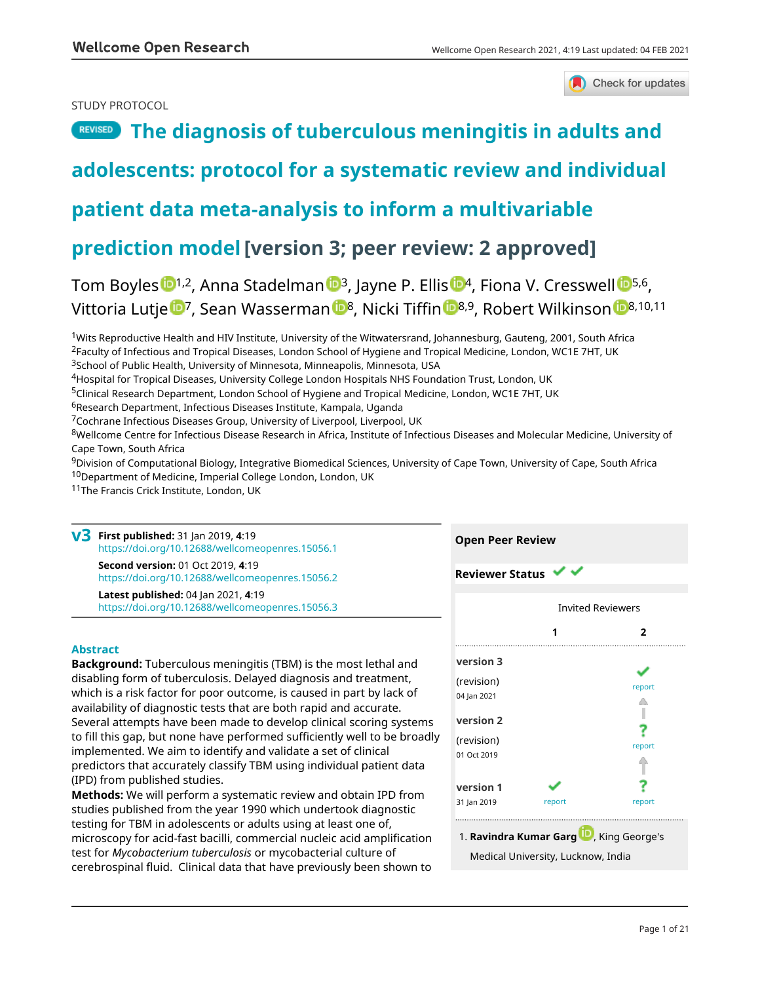### STUDY PROTOCOL



## **[The diagnosis of tuberculous meningitis in adults and](https://wellcomeopenresearch.org/articles/4-19/v3)**

## **[adolescents: protocol for a systematic review and individual](https://wellcomeopenresearch.org/articles/4-19/v3)**

## **[patient data meta-analysis to inform a multivariable](https://wellcomeopenresearch.org/articles/4-19/v3)**

## **[prediction model](https://wellcomeopenresearch.org/articles/4-19/v3)[version 3; peer review: 2 approved]**

Tom Boyles <sup>[1](https://orcid.org/0000-0002-5676-8081),2</sup>, A[n](https://orcid.org/0000-0002-1457-0931)na Stadelman <[s](https://orcid.org/0000-0002-7009-9144)up>13</sup>, Jayne P. Ellis <sup>14</sup>, Fiona V. Cresswell <sup>15,6</sup>, Vittoria Lutje <sup>1</sup>, Sea[n](https://orcid.org/0000-0002-3508-6719) Wasserman <sup>18</sup>, Nicki Tiffin <sup>18,9</sup>, Robert Wilkinson <sup>18,10,11</sup>

<sup>1</sup>Wits Reproductive Health and HIV Institute, University of the Witwatersrand, Johannesburg, Gauteng, 2001, South Africa <sup>2</sup>Faculty of Infectious and Tropical Diseases, London School of Hygiene and Tropical Medicine, London, WC1E 7HT, UK <sup>3</sup>School of Public Health, University of Minnesota, Minneapolis, Minnesota, USA

<sup>4</sup>Hospital for Tropical Diseases, University College London Hospitals NHS Foundation Trust, London, UK

<sup>5</sup>Clinical Research Department, London School of Hygiene and Tropical Medicine, London, WC1E 7HT, UK

<sup>6</sup>Research Department, Infectious Diseases Institute, Kampala, Uganda

<sup>7</sup>Cochrane Infectious Diseases Group, University of Liverpool, Liverpool, UK

<sup>8</sup>Wellcome Centre for Infectious Disease Research in Africa, Institute of Infectious Diseases and Molecular Medicine, University of Cape Town, South Africa

<sup>9</sup>Division of Computational Biology, Integrative Biomedical Sciences, University of Cape Town, University of Cape, South Africa <sup>10</sup>Department of Medicine, Imperial College London, London, UK

11The Francis Crick Institute, London, UK

**First published:** 31 Jan 2019, **4**:19 **v3** <https://doi.org/10.12688/wellcomeopenres.15056.1> **Second version:** 01 Oct 2019, **4**:19 <https://doi.org/10.12688/wellcomeopenres.15056.2> **Latest published:** 04 Jan 2021, **4**:19 <https://doi.org/10.12688/wellcomeopenres.15056.3>

### **Abstract**

**Background:** Tuberculous meningitis (TBM) is the most lethal and disabling form of tuberculosis. Delayed diagnosis and treatment, which is a risk factor for poor outcome, is caused in part by lack of availability of diagnostic tests that are both rapid and accurate. Several attempts have been made to develop clinical scoring systems to fill this gap, but none have performed sufficiently well to be broadly implemented. We aim to identify and validate a set of clinical predictors that accurately classify TBM using individual patient data (IPD) from published studies.

**Methods:** We will perform a systematic review and obtain IPD from studies published from the year 1990 which undertook diagnostic testing for TBM in adolescents or adults using at least one of, microscopy for acid-fast bacilli, commercial nucleic acid amplification test for *Mycobacterium tuberculosis* or mycobacterial culture of cerebrospinal fluid. Clinical data that have previously been shown to

| <b>Reviewer Status</b>                                                                     |        |                          |  |  |
|--------------------------------------------------------------------------------------------|--------|--------------------------|--|--|
|                                                                                            |        | <b>Invited Reviewers</b> |  |  |
|                                                                                            | .      | 2                        |  |  |
| version 3                                                                                  |        |                          |  |  |
| (revision)<br>04 Jan 2021                                                                  |        | report                   |  |  |
| version 2                                                                                  |        |                          |  |  |
| (revision)<br>01 Oct 2019                                                                  |        | report                   |  |  |
| version 1                                                                                  |        |                          |  |  |
| 31 Jan 2019                                                                                | report | report                   |  |  |
| 1. Ravindra Kumar Garg <sup>10</sup> , King George's<br>Medical University, Lucknow, India |        |                          |  |  |

**Open Peer Review**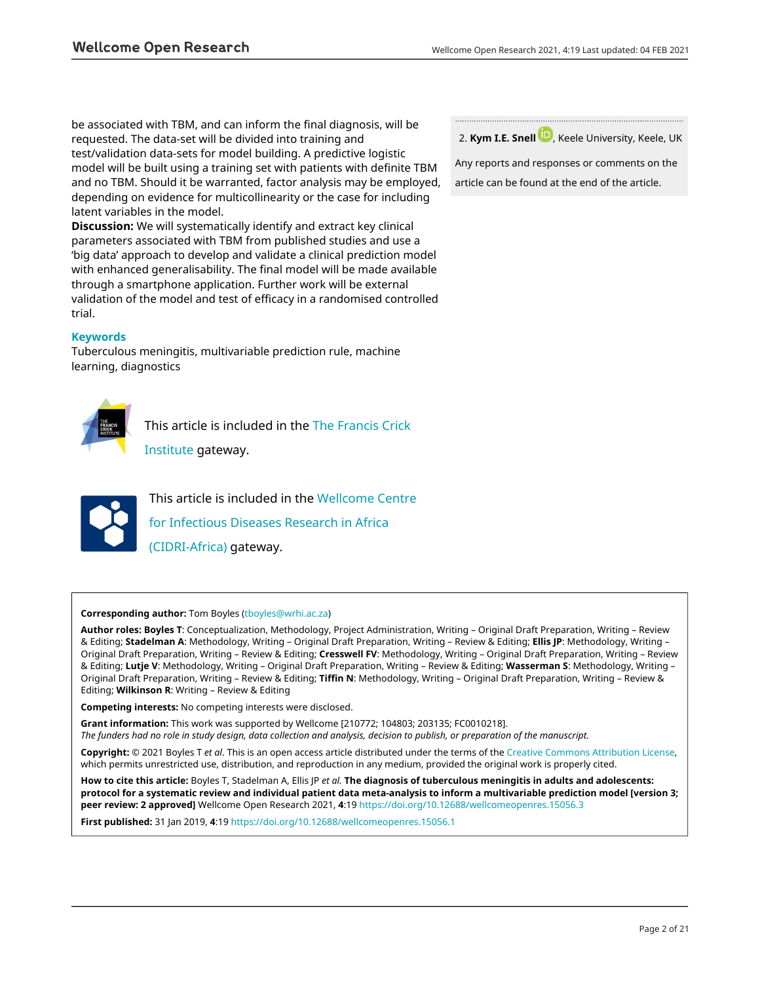be associated with TBM, and can inform the final diagnosis, will be requested. The data-set will be divided into training and test/validation data-sets for model building. A predictive logistic model will be built using a training set with patients with definite TBM and no TBM. Should it be warranted, factor analysis may be employed, depending on evidence for multicollinearity or the case for including latent variables in the model.

**Discussion:** We will systematically identify and extract key clinical parameters associated with TBM from published studies and use a 'big data' approach to develop and validate a clinical prediction model with enhanced generalisability. The final model will be made available through a smartphone application. Further work will be external validation of the model and test of efficacy in a randomised controlled trial.

### **Keywords**

Tuberculous meningitis, multivariable prediction rule, machine learning, diagnostics



This article is included in the [The Francis Crick](https://wellcomeopenresearch.org/gateways/crick)

[Institute](https://wellcomeopenresearch.org/gateways/crick) gateway.



This article is included in the [Wellcome Centre](https://wellcomeopenresearch.org/gateways/cidri) [for Infectious Diseases Research in Africa](https://wellcomeopenresearch.org/gateways/cidri) [\(CIDRI-Africa\)](https://wellcomeopenresearch.org/gateways/cidri) gateway.

**Corresponding author:** Tom Boyles [\(tboyles@wrhi.ac.za](mailto:tboyles@wrhi.ac.za))

**Author roles: Boyles T**: Conceptualization, Methodology, Project Administration, Writing – Original Draft Preparation, Writing – Review & Editing; **Stadelman A**: Methodology, Writing – Original Draft Preparation, Writing – Review & Editing; **Ellis JP**: Methodology, Writing – Original Draft Preparation, Writing – Review & Editing; **Cresswell FV**: Methodology, Writing – Original Draft Preparation, Writing – Review & Editing; **Lutje V**: Methodology, Writing – Original Draft Preparation, Writing – Review & Editing; **Wasserman S**: Methodology, Writing – Original Draft Preparation, Writing – Review & Editing; **Tiffin N**: Methodology, Writing – Original Draft Preparation, Writing – Review & Editing; **Wilkinson R**: Writing – Review & Editing

**Competing interests:** No competing interests were disclosed.

**Grant information:** This work was supported by Wellcome [210772; 104803; 203135; FC0010218].

*The funders had no role in study design, data collection and analysis, decision to publish, or preparation of the manuscript.*

**Copyright:** © 2021 Boyles T *et al*. This is an open access article distributed under the terms of the [Creative Commons Attribution License,](http://creativecommons.org/licenses/by/4.0/) which permits unrestricted use, distribution, and reproduction in any medium, provided the original work is properly cited.

**How to cite this article:** Boyles T, Stadelman A, Ellis JP *et al.* **The diagnosis of tuberculous meningitis in adults and adolescents: protocol for a systematic review and individual patient data meta-analysis to inform a multivariable prediction model [version 3; peer review: 2 approved]** Wellcome Open Research 2021, **4**:19 <https://doi.org/10.12688/wellcomeopenres.15056.3>

**First published:** 31 Jan 2019, **4**:19<https://doi.org/10.12688/wellcomeopenres.15056.1>

2. **Kym I.E. Snell** [,](https://orcid.org/0000-0001-9373-6591) Keele University, Keele, UK

Any reports and responses or comments on the article can be found at the end of the article.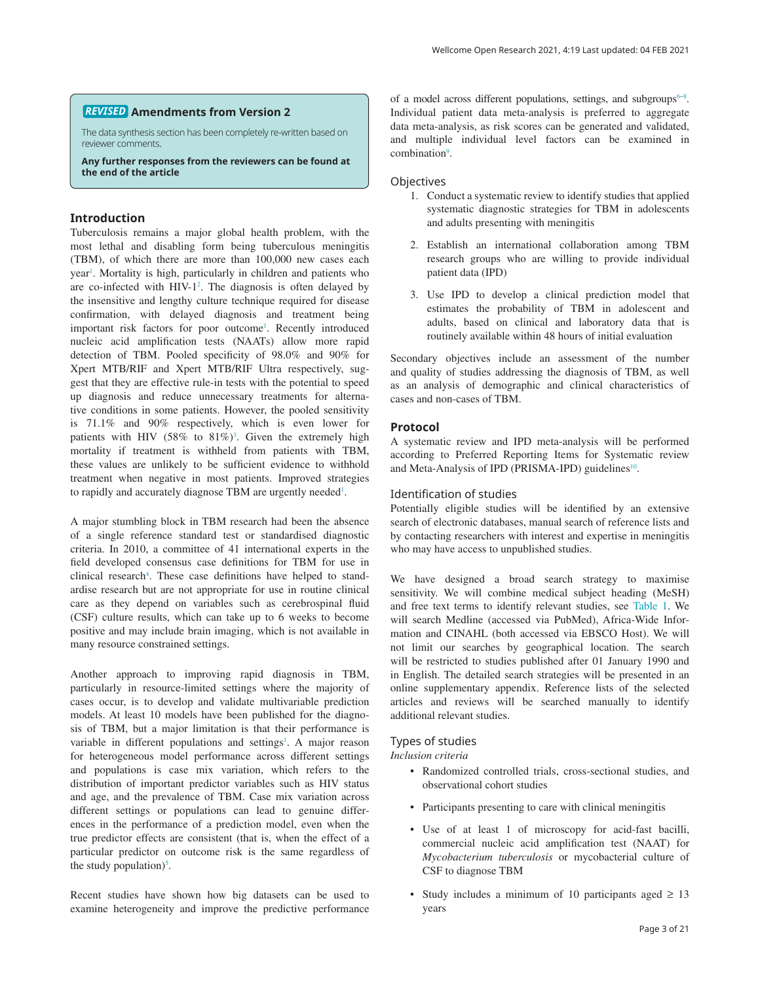### **Amendments from Version 2** *REVISED*

The data synthesis section has been completely re-written based on reviewer comments.

**Any further responses from the reviewers can be found at the end of the article**

### **Introduction**

Tuberculosis remains a major global health problem, with the most lethal and disabling form being tuberculous meningitis (TBM), of which there are more than 100,000 new cases each year<sup>1</sup>. Mortality is high, particularly in children and patients who are co-infected with  $HIV-1<sup>2</sup>$  $HIV-1<sup>2</sup>$  $HIV-1<sup>2</sup>$ . The diagnosis is often delayed by the insensitive and lengthy culture technique required for disease confirmation, with delayed diagnosis and treatment being important risk factors for poor outcome<sup>1</sup>. Recently introduced nucleic acid amplification tests (NAATs) allow more rapid detection of TBM. Pooled specificity of 98.0% and 90% for Xpert MTB/RIF and Xpert MTB/RIF Ultra respectively, suggest that they are effective rule-in tests with the potential to speed up diagnosis and reduce unnecessary treatments for alternative conditions in some patients. However, the pooled sensitivity is 71.1% and 90% respectively, which is even lower for patients with HIV  $(58\% \text{ to } 81\%)$ <sup>3</sup>. Given the extremely high mortality if treatment is withheld from patients with TBM, these values are unlikely to be sufficient evidence to withhold treatment when negative in most patients. Improved strategies to rapidly and accurately diagnose TBM are urgently needed<sup>[1](#page-7-0)</sup>.

A major stumbling block in TBM research had been the absence of a single reference standard test or standardised diagnostic criteria. In 2010, a committee of 41 international experts in the field developed consensus case definitions for TBM for use in clinical research<sup>[4](#page-7-0)</sup>. These case definitions have helped to standardise research but are not appropriate for use in routine clinical care as they depend on variables such as cerebrospinal fluid (CSF) culture results, which can take up to 6 weeks to become positive and may include brain imaging, which is not available in many resource constrained settings.

Another approach to improving rapid diagnosis in TBM, particularly in resource-limited settings where the majority of cases occur, is to develop and validate multivariable prediction models. At least 10 models have been published for the diagnosis of TBM, but a major limitation is that their performance is variable in different populations and settings<sup>[1](#page-7-0)</sup>. A major reason for heterogeneous model performance across different settings and populations is case mix variation, which refers to the distribution of important predictor variables such as HIV status and age, and the prevalence of TBM. Case mix variation across different settings or populations can lead to genuine differences in the performance of a prediction model, even when the true predictor effects are consistent (that is, when the effect of a particular predictor on outcome risk is the same regardless of the study population)<sup>5</sup>.

Recent studies have shown how big datasets can be used to examine heterogeneity and improve the predictive performance

of a model across different populations, settings, and subgroups $6-8$ . Individual patient data meta-analysis is preferred to aggregate data meta-analysis, as risk scores can be generated and validated, and multiple individual level factors can be examined in combination<sup>[9](#page-7-0)</sup>.

### **Objectives**

- 1. Conduct a systematic review to identify studies that applied systematic diagnostic strategies for TBM in adolescents and adults presenting with meningitis
- 2. Establish an international collaboration among TBM research groups who are willing to provide individual patient data (IPD)
- 3. Use IPD to develop a clinical prediction model that estimates the probability of TBM in adolescent and adults, based on clinical and laboratory data that is routinely available within 48 hours of initial evaluation

Secondary objectives include an assessment of the number and quality of studies addressing the diagnosis of TBM, as well as an analysis of demographic and clinical characteristics of cases and non-cases of TBM.

### **Protocol**

A systematic review and IPD meta-analysis will be performed according to Preferred Reporting Items for Systematic review and Meta-Analysis of IPD (PRISMA-IPD) guidelines<sup>[10](#page-7-0)</sup>.

### Identification of studies

Potentially eligible studies will be identified by an extensive search of electronic databases, manual search of reference lists and by contacting researchers with interest and expertise in meningitis who may have access to unpublished studies.

We have designed a broad search strategy to maximise sensitivity. We will combine medical subject heading (MeSH) and free text terms to identify relevant studies, see [Table 1](#page-3-0). We will search Medline (accessed via PubMed), Africa-Wide Information and CINAHL (both accessed via EBSCO Host). We will not limit our searches by geographical location. The search will be restricted to studies published after 01 January 1990 and in English. The detailed search strategies will be presented in an online supplementary appendix. Reference lists of the selected articles and reviews will be searched manually to identify additional relevant studies.

### Types of studies

*Inclusion criteria*

- Randomized controlled trials, cross-sectional studies, and observational cohort studies
- Participants presenting to care with clinical meningitis
- Use of at least 1 of microscopy for acid-fast bacilli, commercial nucleic acid amplification test (NAAT) for *Mycobacterium tuberculosis* or mycobacterial culture of CSF to diagnose TBM
- Study includes a minimum of 10 participants aged  $\geq 13$ years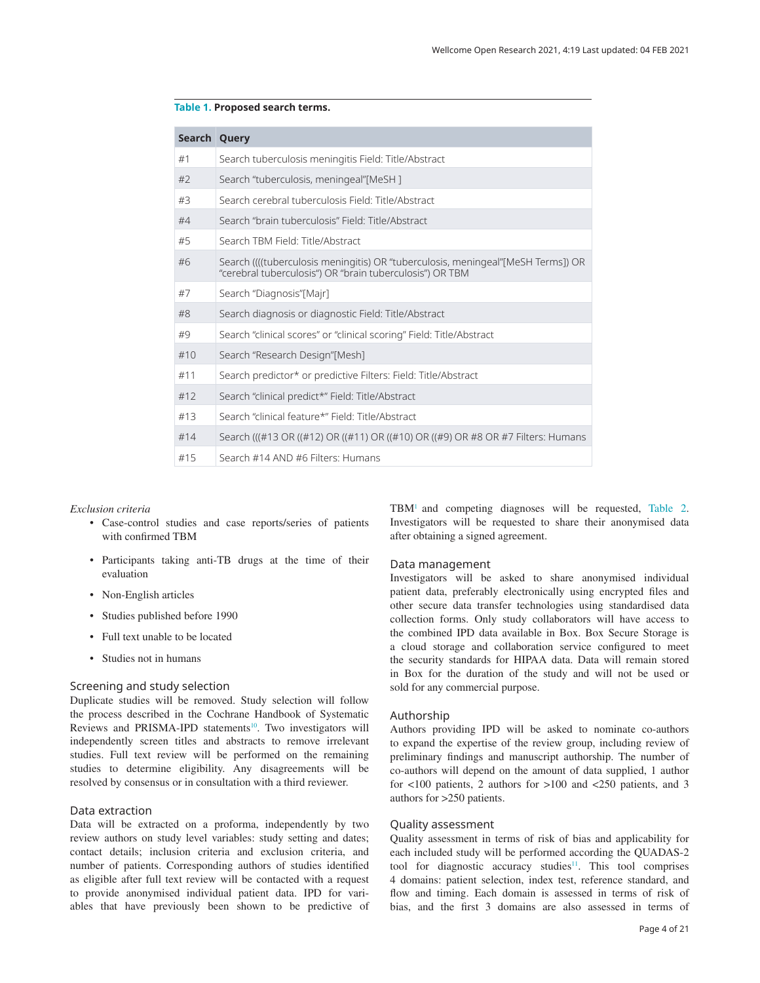| Search Query |                                                                                                                                              |
|--------------|----------------------------------------------------------------------------------------------------------------------------------------------|
| #1           | Search tuberculosis meningitis Field: Title/Abstract                                                                                         |
| #2           | Search "tuberculosis, meningeal"[MeSH]                                                                                                       |
| #3           | Search cerebral tuberculosis Field: Title/Abstract                                                                                           |
| #4           | Search "brain tuberculosis" Field: Title/Abstract                                                                                            |
| #5           | Search TBM Field: Title/Abstract                                                                                                             |
| #6           | Search ((((tuberculosis meningitis) OR "tuberculosis, meningeal"[MeSH Terms]) OR<br>"cerebral tuberculosis") OR "brain tuberculosis") OR TBM |
| #7           | Search "Diagnosis"[Majr]                                                                                                                     |
| #8           | Search diagnosis or diagnostic Field: Title/Abstract                                                                                         |
| #9           | Search "clinical scores" or "clinical scoring" Field: Title/Abstract                                                                         |
| #10          | Search "Research Design"[Mesh]                                                                                                               |
| #11          | Search predictor* or predictive Filters: Field: Title/Abstract                                                                               |
| #12          | Search "clinical predict*" Field: Title/Abstract                                                                                             |
| #13          | Search "clinical feature*" Field: Title/Abstract                                                                                             |
| #14          | Search (((#13 OR ((#12) OR ((#11) OR ((#10) OR ((#9) OR #8 OR #7 Filters: Humans                                                             |
| #15          | Search #14 AND #6 Filters: Humans                                                                                                            |
|              |                                                                                                                                              |

### <span id="page-3-0"></span>**Table 1. Proposed search terms.**

#### *Exclusion criteria*

- Case-control studies and case reports/series of patients with confirmed TBM
- Participants taking anti-TB drugs at the time of their evaluation
- Non-English articles
- Studies published before 1990
- Full text unable to be located
- Studies not in humans

### Screening and study selection

Duplicate studies will be removed. Study selection will follow the process described in the Cochrane Handbook of Systematic Reviews and PRISMA-IPD statements<sup>[10](#page-7-0)</sup>. Two investigators will independently screen titles and abstracts to remove irrelevant studies. Full text review will be performed on the remaining studies to determine eligibility. Any disagreements will be resolved by consensus or in consultation with a third reviewer.

### Data extraction

Data will be extracted on a proforma, independently by two review authors on study level variables: study setting and dates; contact details; inclusion criteria and exclusion criteria, and number of patients. Corresponding authors of studies identified as eligible after full text review will be contacted with a request to provide anonymised individual patient data. IPD for variables that have previously been shown to be predictive of TBM[1](#page-7-0) and competing diagnoses will be requested, [Table 2](#page-4-0). Investigators will be requested to share their anonymised data after obtaining a signed agreement.

### Data management

Investigators will be asked to share anonymised individual patient data, preferably electronically using encrypted files and other secure data transfer technologies using standardised data collection forms. Only study collaborators will have access to the combined IPD data available in Box. Box Secure Storage is a cloud storage and collaboration service configured to meet the security standards for HIPAA data. Data will remain stored in Box for the duration of the study and will not be used or sold for any commercial purpose.

### Authorship

Authors providing IPD will be asked to nominate co-authors to expand the expertise of the review group, including review of preliminary findings and manuscript authorship. The number of co-authors will depend on the amount of data supplied, 1 author for <100 patients, 2 authors for >100 and <250 patients, and 3 authors for >250 patients.

### Quality assessment

Quality assessment in terms of risk of bias and applicability for each included study will be performed according the QUADAS-2 tool for diagnostic accuracy studies<sup>11</sup>. This tool comprises 4 domains: patient selection, index test, reference standard, and flow and timing. Each domain is assessed in terms of risk of bias, and the first 3 domains are also assessed in terms of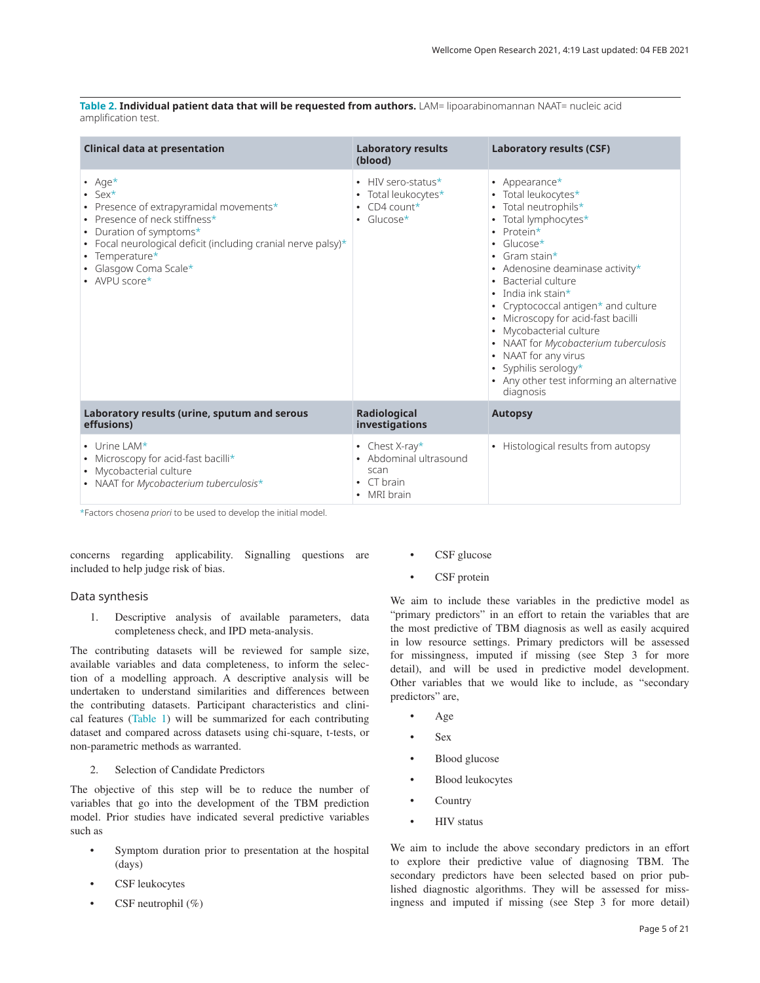<span id="page-4-0"></span>**Table 2. Individual patient data that will be requested from authors.** LAM= lipoarabinomannan NAAT= nucleic acid amplification test.

| <b>Clinical data at presentation</b>                                                                                                                                                                                                                                           | <b>Laboratory results</b><br>(blood)                                                | <b>Laboratory results (CSF)</b>                                                                                                                                                                                                                                                                                                                                                                                                                                                                                  |
|--------------------------------------------------------------------------------------------------------------------------------------------------------------------------------------------------------------------------------------------------------------------------------|-------------------------------------------------------------------------------------|------------------------------------------------------------------------------------------------------------------------------------------------------------------------------------------------------------------------------------------------------------------------------------------------------------------------------------------------------------------------------------------------------------------------------------------------------------------------------------------------------------------|
| • Age $*$<br>$\cdot$ Sex*<br>• Presence of extrapyramidal movements*<br>• Presence of neck stiffness*<br>• Duration of symptoms*<br>• Focal neurological deficit (including cranial nerve palsy) $*$<br>• Temperature $*$<br>• Glasgow Coma Scale $*$<br>$\bullet$ AVPU score* | HIV sero-status*<br>Total leukocytes*<br>$CD4$ count*<br>$\cdot$ Glucose*           | • Appearance $*$<br>• Total leukocytes*<br>Total neutrophils*<br>Total lymphocytes*<br>$\bullet$<br>Protein*<br>$Glucose*$<br>$\bullet$<br>• Gram stain*<br>• Adenosine deaminase activity*<br>Bacterial culture<br>• India ink stain $\star$<br>• Cryptococcal antigen <sup>*</sup> and culture<br>Microscopy for acid-fast bacilli<br>Mycobacterial culture<br>• NAAT for Mycobacterium tuberculosis<br>• NAAT for any virus<br>• Syphilis serology*<br>• Any other test informing an alternative<br>diagnosis |
| Laboratory results (urine, sputum and serous<br>effusions)                                                                                                                                                                                                                     | <b>Radiological</b><br>investigations                                               | <b>Autopsy</b>                                                                                                                                                                                                                                                                                                                                                                                                                                                                                                   |
| $\bullet$ Urine LAM*<br>• Microscopy for acid-fast bacilli*<br>• Mycobacterial culture<br>• NAAT for Mycobacterium tuberculosis*                                                                                                                                               | • Chest X-ray*<br>Abdominal ultrasound<br>scan<br>$\bullet$ CT brain<br>• MRI brain | • Histological results from autopsy                                                                                                                                                                                                                                                                                                                                                                                                                                                                              |

\*Factors chosen*a priori* to be used to develop the initial model.

concerns regarding applicability. Signalling questions are included to help judge risk of bias.

### Data synthesis

1. Descriptive analysis of available parameters, data completeness check, and IPD meta-analysis.

The contributing datasets will be reviewed for sample size, available variables and data completeness, to inform the selection of a modelling approach. A descriptive analysis will be undertaken to understand similarities and differences between the contributing datasets. Participant characteristics and clinical features [\(Table 1](#page-3-0)) will be summarized for each contributing dataset and compared across datasets using chi-square, t-tests, or non-parametric methods as warranted.

### 2. Selection of Candidate Predictors

The objective of this step will be to reduce the number of variables that go into the development of the TBM prediction model. Prior studies have indicated several predictive variables such as

- Symptom duration prior to presentation at the hospital (days)
- CSF leukocytes
- CSF neutrophil (%)
- CSF glucose
- CSF protein

We aim to include these variables in the predictive model as "primary predictors" in an effort to retain the variables that are the most predictive of TBM diagnosis as well as easily acquired in low resource settings. Primary predictors will be assessed for missingness, imputed if missing (see Step 3 for more detail), and will be used in predictive model development. Other variables that we would like to include, as "secondary predictors" are,

- Age
- Sex
- Blood glucose
- Blood leukocytes
- **Country**
- HIV status

We aim to include the above secondary predictors in an effort to explore their predictive value of diagnosing TBM. The secondary predictors have been selected based on prior published diagnostic algorithms. They will be assessed for missingness and imputed if missing (see Step 3 for more detail)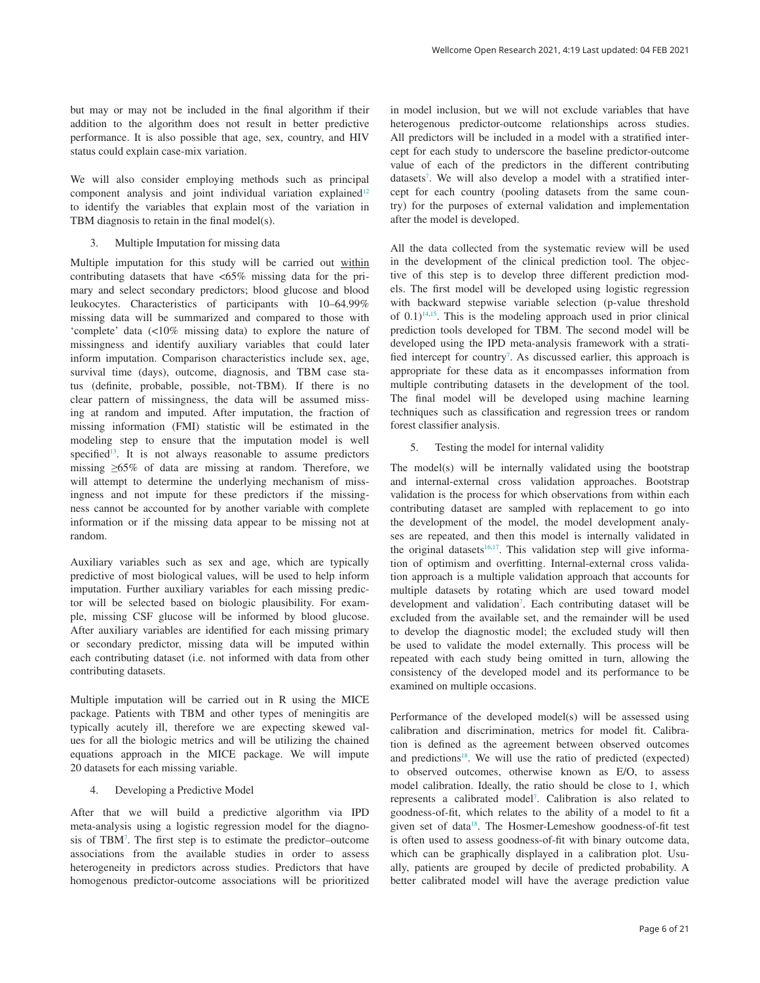but may or may not be included in the final algorithm if their addition to the algorithm does not result in better predictive performance. It is also possible that age, sex, country, and HIV status could explain case-mix variation.

We will also consider employing methods such as principal component analysis and joint individual variation explained<sup>12</sup> to identify the variables that explain most of the variation in TBM diagnosis to retain in the final model(s).

3. Multiple Imputation for missing data

Multiple imputation for this study will be carried out within contributing datasets that have <65% missing data for the primary and select secondary predictors; blood glucose and blood leukocytes. Characteristics of participants with 10–64.99% missing data will be summarized and compared to those with 'complete' data (<10% missing data) to explore the nature of missingness and identify auxiliary variables that could later inform imputation. Comparison characteristics include sex, age, survival time (days), outcome, diagnosis, and TBM case status (definite, probable, possible, not-TBM). If there is no clear pattern of missingness, the data will be assumed missing at random and imputed. After imputation, the fraction of missing information (FMI) statistic will be estimated in the modeling step to ensure that the imputation model is well specified<sup>13</sup>. It is not always reasonable to assume predictors missing ≥65% of data are missing at random. Therefore, we will attempt to determine the underlying mechanism of missingness and not impute for these predictors if the missingness cannot be accounted for by another variable with complete information or if the missing data appear to be missing not at random.

Auxiliary variables such as sex and age, which are typically predictive of most biological values, will be used to help inform imputation. Further auxiliary variables for each missing predictor will be selected based on biologic plausibility. For example, missing CSF glucose will be informed by blood glucose. After auxiliary variables are identified for each missing primary or secondary predictor, missing data will be imputed within each contributing dataset (i.e. not informed with data from other contributing datasets.

Multiple imputation will be carried out in R using the MICE package. Patients with TBM and other types of meningitis are typically acutely ill, therefore we are expecting skewed values for all the biologic metrics and will be utilizing the chained equations approach in the MICE package. We will impute 20 datasets for each missing variable.

### 4. Developing a Predictive Model

After that we will build a predictive algorithm via IPD meta-analysis using a logistic regression model for the diagnosis of TB[M7](#page-7-0) . The first step is to estimate the predictor–outcome associations from the available studies in order to assess heterogeneity in predictors across studies. Predictors that have homogenous predictor-outcome associations will be prioritized in model inclusion, but we will not exclude variables that have heterogenous predictor-outcome relationships across studies. All predictors will be included in a model with a stratified intercept for each study to underscore the baseline predictor-outcome value of each of the predictors in the different contributing datasets<sup>7</sup>. We will also develop a model with a stratified intercept for each country (pooling datasets from the same country) for the purposes of external validation and implementation after the model is developed.

All the data collected from the systematic review will be used in the development of the clinical prediction tool. The objective of this step is to develop three different prediction models. The first model will be developed using logistic regression with backward stepwise variable selection (p-value threshold of  $(0.1)^{14,15}$ . This is the modeling approach used in prior clinical prediction tools developed for TBM. The second model will be developed using the IPD meta-analysis framework with a stratified intercept for country<sup>7</sup>. As discussed earlier, this approach is appropriate for these data as it encompasses information from multiple contributing datasets in the development of the tool. The final model will be developed using machine learning techniques such as classification and regression trees or random forest classifier analysis.

#### 5. Testing the model for internal validity

The model(s) will be internally validated using the bootstrap and internal-external cross validation approaches. Bootstrap validation is the process for which observations from within each contributing dataset are sampled with replacement to go into the development of the model, the model development analyses are repeated, and then this model is internally validated in the original datasets<sup>16,17</sup>. This validation step will give information of optimism and overfitting. Internal-external cross validation approach is a multiple validation approach that accounts for multiple datasets by rotating which are used toward model development and validation<sup>[7](#page-7-0)</sup>. Each contributing dataset will be excluded from the available set, and the remainder will be used to develop the diagnostic model; the excluded study will then be used to validate the model externally. This process will be repeated with each study being omitted in turn, allowing the consistency of the developed model and its performance to be examined on multiple occasions.

Performance of the developed model(s) will be assessed using calibration and discrimination, metrics for model fit. Calibration is defined as the agreement between observed outcomes and predictions<sup>18</sup>. We will use the ratio of predicted (expected) to observed outcomes, otherwise known as E/O, to assess model calibration. Ideally, the ratio should be close to 1, which represents a calibrated model<sup>7</sup>. Calibration is also related to goodness-of-fit, which relates to the ability of a model to fit a given set of data[18.](#page-8-0) The Hosmer-Lemeshow goodness-of-fit test is often used to assess goodness-of-fit with binary outcome data, which can be graphically displayed in a calibration plot. Usually, patients are grouped by decile of predicted probability. A better calibrated model will have the average prediction value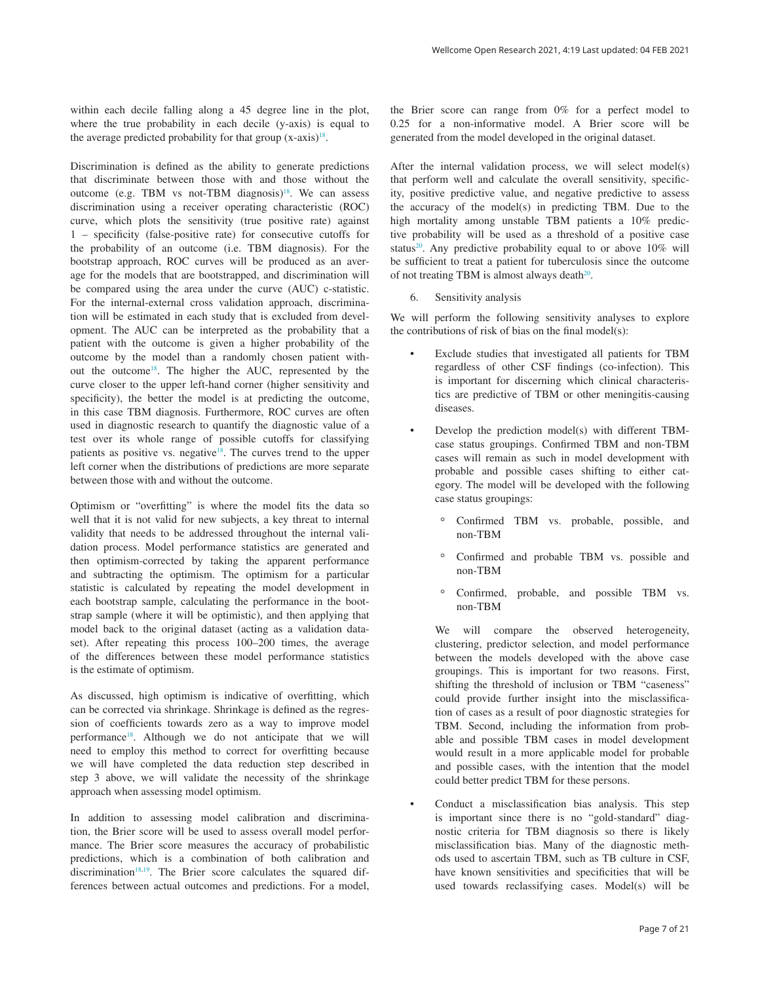within each decile falling along a 45 degree line in the plot, where the true probability in each decile (y-axis) is equal to the average predicted probability for that group  $(x-axis)^{18}$ .

Discrimination is defined as the ability to generate predictions that discriminate between those with and those without the outcome (e.g. TBM vs not-TBM diagnosis) $18$ . We can assess discrimination using a receiver operating characteristic (ROC) curve, which plots the sensitivity (true positive rate) against 1 – specificity (false-positive rate) for consecutive cutoffs for the probability of an outcome (i.e. TBM diagnosis). For the bootstrap approach, ROC curves will be produced as an average for the models that are bootstrapped, and discrimination will be compared using the area under the curve (AUC) c-statistic. For the internal-external cross validation approach, discrimination will be estimated in each study that is excluded from development. The AUC can be interpreted as the probability that a patient with the outcome is given a higher probability of the outcome by the model than a randomly chosen patient without the outcom[e18.](#page-8-0) The higher the AUC, represented by the curve closer to the upper left-hand corner (higher sensitivity and specificity), the better the model is at predicting the outcome, in this case TBM diagnosis. Furthermore, ROC curves are often used in diagnostic research to quantify the diagnostic value of a test over its whole range of possible cutoffs for classifying patients as positive vs. negative<sup>18</sup>. The curves trend to the upper left corner when the distributions of predictions are more separate between those with and without the outcome.

Optimism or "overfitting" is where the model fits the data so well that it is not valid for new subjects, a key threat to internal validity that needs to be addressed throughout the internal validation process. Model performance statistics are generated and then optimism-corrected by taking the apparent performance and subtracting the optimism. The optimism for a particular statistic is calculated by repeating the model development in each bootstrap sample, calculating the performance in the bootstrap sample (where it will be optimistic), and then applying that model back to the original dataset (acting as a validation dataset). After repeating this process 100–200 times, the average of the differences between these model performance statistics is the estimate of optimism.

As discussed, high optimism is indicative of overfitting, which can be corrected via shrinkage. Shrinkage is defined as the regression of coefficients towards zero as a way to improve model performanc[e18](#page-8-0). Although we do not anticipate that we will need to employ this method to correct for overfitting because we will have completed the data reduction step described in step 3 above, we will validate the necessity of the shrinkage approach when assessing model optimism.

In addition to assessing model calibration and discrimination, the Brier score will be used to assess overall model performance. The Brier score measures the accuracy of probabilistic predictions, which is a combination of both calibration and discrimination<sup>[18,19](#page-8-0)</sup>. The Brier score calculates the squared differences between actual outcomes and predictions. For a model, the Brier score can range from 0% for a perfect model to 0.25 for a non-informative model. A Brier score will be generated from the model developed in the original dataset.

After the internal validation process, we will select model(s) that perform well and calculate the overall sensitivity, specificity, positive predictive value, and negative predictive to assess the accuracy of the model(s) in predicting TBM. Due to the high mortality among unstable TBM patients a 10% predictive probability will be used as a threshold of a positive case status<sup>20</sup>. Any predictive probability equal to or above  $10\%$  will be sufficient to treat a patient for tuberculosis since the outcome of not treating TBM is almost always death $20$ .

6. Sensitivity analysis

We will perform the following sensitivity analyses to explore the contributions of risk of bias on the final model(s):

- Exclude studies that investigated all patients for TBM regardless of other CSF findings (co-infection). This is important for discerning which clinical characteristics are predictive of TBM or other meningitis-causing diseases.
- Develop the prediction model(s) with different TBMcase status groupings. Confirmed TBM and non-TBM cases will remain as such in model development with probable and possible cases shifting to either category. The model will be developed with the following case status groupings:
	- Confirmed TBM vs. probable, possible, and non-TBM
	- Confirmed and probable TBM vs. possible and non-TBM
	- Confirmed, probable, and possible TBM vs. non-TBM

 We will compare the observed heterogeneity, clustering, predictor selection, and model performance between the models developed with the above case groupings. This is important for two reasons. First, shifting the threshold of inclusion or TBM "caseness" could provide further insight into the misclassification of cases as a result of poor diagnostic strategies for TBM. Second, including the information from probable and possible TBM cases in model development would result in a more applicable model for probable and possible cases, with the intention that the model could better predict TBM for these persons.

• Conduct a misclassification bias analysis. This step is important since there is no "gold-standard" diagnostic criteria for TBM diagnosis so there is likely misclassification bias. Many of the diagnostic methods used to ascertain TBM, such as TB culture in CSF, have known sensitivities and specificities that will be used towards reclassifying cases. Model(s) will be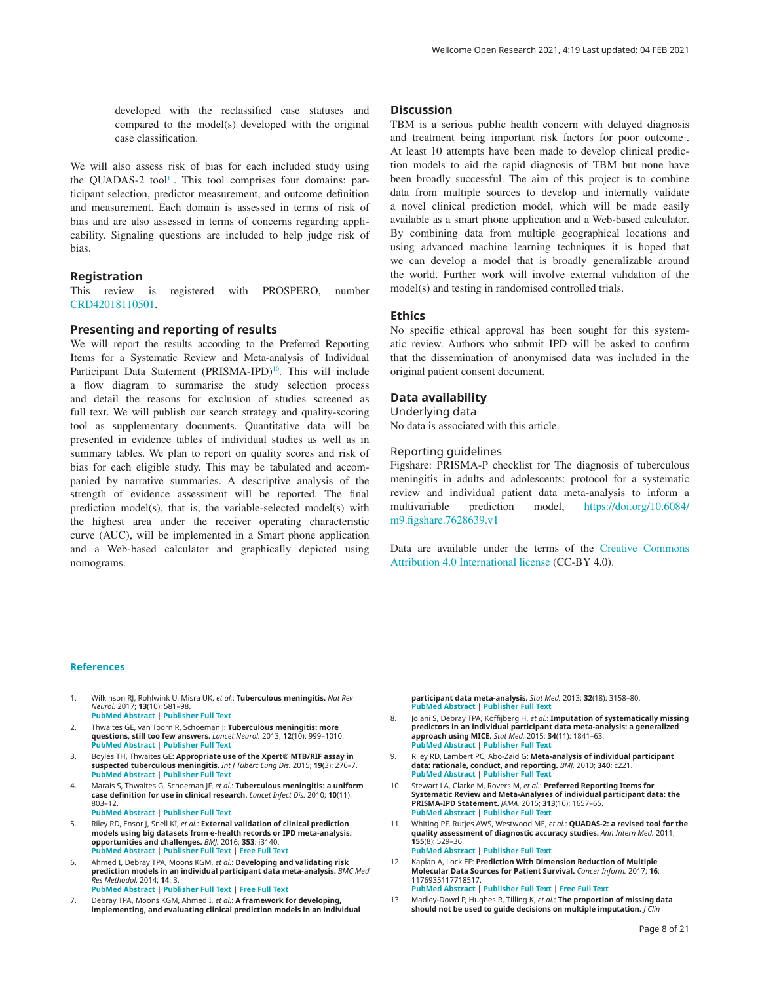<span id="page-7-0"></span>developed with the reclassified case statuses and compared to the model(s) developed with the original case classification.

We will also assess risk of bias for each included study using the QUADAS-2 tool<sup>11</sup>. This tool comprises four domains: participant selection, predictor measurement, and outcome definition and measurement. Each domain is assessed in terms of risk of bias and are also assessed in terms of concerns regarding applicability. Signaling questions are included to help judge risk of bias.

### **Registration**

This review is registered with PROSPERO, number [CRD42018110501.](https://www.crd.york.ac.uk/prospero/display_record.php?RecordID=110501)

### **Presenting and reporting of results**

We will report the results according to the Preferred Reporting Items for a Systematic Review and Meta-analysis of Individual Participant Data Statement (PRISMA-IPD)<sup>10</sup>. This will include a flow diagram to summarise the study selection process and detail the reasons for exclusion of studies screened as full text. We will publish our search strategy and quality-scoring tool as supplementary documents. Quantitative data will be presented in evidence tables of individual studies as well as in summary tables. We plan to report on quality scores and risk of bias for each eligible study. This may be tabulated and accompanied by narrative summaries. A descriptive analysis of the strength of evidence assessment will be reported. The final prediction model(s), that is, the variable-selected model(s) with the highest area under the receiver operating characteristic curve (AUC), will be implemented in a Smart phone application and a Web-based calculator and graphically depicted using nomograms.

### **Discussion**

TBM is a serious public health concern with delayed diagnosis and treatment being important risk factors for poor outcome<sup>1</sup>. At least 10 attempts have been made to develop clinical prediction models to aid the rapid diagnosis of TBM but none have been broadly successful. The aim of this project is to combine data from multiple sources to develop and internally validate a novel clinical prediction model, which will be made easily available as a smart phone application and a Web-based calculator. By combining data from multiple geographical locations and using advanced machine learning techniques it is hoped that we can develop a model that is broadly generalizable around the world. Further work will involve external validation of the model(s) and testing in randomised controlled trials.

### **Ethics**

No specific ethical approval has been sought for this systematic review. Authors who submit IPD will be asked to confirm that the dissemination of anonymised data was included in the original patient consent document.

#### **Data availability**

Underlying data

No data is associated with this article.

#### Reporting guidelines

Figshare: PRISMA-P checklist for The diagnosis of tuberculous meningitis in adults and adolescents: protocol for a systematic review and individual patient data meta-analysis to inform a multivariable prediction model, [https://doi.org/10.6084/](https://dx.doi.org/10.6084/m9.figshare.7628639.v1) [m9.figshare.7628639.v1](https://dx.doi.org/10.6084/m9.figshare.7628639.v1)

Data are available under the terms of the [Creative Commons](https://creativecommons.org/licenses/by/4.0/legalcode)  [Attribution 4.0 International license](https://creativecommons.org/licenses/by/4.0/legalcode) (CC-BY 4.0).

#### **References**

- 1. Wilkinson RJ, Rohlwink U, Misra UK, *et al.*: **Tuberculous meningitis.** *Nat Rev Neurol.* 2017; **13**(10): 581–98. **PubMed [Abstract](http://www.ncbi.nlm.nih.gov/pubmed/28884751)** | **[Publisher](http://dx.doi.org/10.1038/nrneurol.2017.120) Full Text**
- 2. Thwaites GE, van Toorn R, Schoeman J: **Tuberculous meningitis: more questions, still too few answers.** *Lancet Neurol.* 2013; **12**(10): 999–1010. **PubMed [Abstract](http://www.ncbi.nlm.nih.gov/pubmed/23972913)** | **[Publisher](http://dx.doi.org/10.1016/S1474-4422(13)70168-6) Full Text**
- 3. Boyles TH, Thwaites GE: **Appropriate use of the Xpert® MTB/RIF assay in suspected tuberculous meningitis.** *Int J Tuberc Lung Dis.* 2015; **19**(3): 276–7. **PubMed [Abstract](http://www.ncbi.nlm.nih.gov/pubmed/25686133)** | **[Publisher](http://dx.doi.org/10.5588/ijtld.14.0805) Full Text**
- 4. Marais S, Thwaites G, Schoeman JF, *et al.*: **Tuberculous meningitis: a uniform case definition for use in clinical research.** *Lancet Infect Dis.* 2010; **10**(11): 803–12. **PubMed [Abstract](http://www.ncbi.nlm.nih.gov/pubmed/20822958)** | **[Publisher](http://dx.doi.org/10.1016/S1473-3099(10)70138-9) Full Text**
- 5. Riley RD, Ensor J, Snell KI, *et al.*: **External validation of clinical prediction models using big datasets from e-health records or IPD meta-analysis: opportunities and challenges.** *BMJ.* 2016; **353**: i3140. **PubMed [Abstract](http://www.ncbi.nlm.nih.gov/pubmed/27334381)** | **[Publisher](http://dx.doi.org/10.1136/bmj.i3140) Full Text** | **[Free](http://www.ncbi.nlm.nih.gov/pmc/articles/4916924) Full Text**
- 6. Ahmed I, Debray TPA, Moons KGM, *et al.*: **Developing and validating risk prediction models in an individual participant data meta-analysis.** *BMC Med Res Methodol.* 2014; **14**: 3. **PubMed [Abstract](http://www.ncbi.nlm.nih.gov/pubmed/24397587)** | **[Publisher](http://dx.doi.org/10.1186/1471-2288-14-3) Full Text** | **[Free](http://www.ncbi.nlm.nih.gov/pmc/articles/3890557) Full Text**
- 7. Debray TPA, Moons KGM, Ahmed I, *et al.*: **A framework for developing, implementing, and evaluating clinical prediction models in an individual**

**participant data meta-analysis.** *Stat Med.* 2013; **32**(18): 3158–80. **PubMed [Abstract](http://www.ncbi.nlm.nih.gov/pubmed/23307585)** | **[Publisher](http://dx.doi.org/10.1002/sim.5732) Full Text**

- 8. Jolani S, Debray TPA, Koffijberg H, *et al.*: **Imputation of systematically missing predictors in an individual participant data meta-analysis: a generalized approach using MICE.** *Stat Med.* 2015; **34**(11): 1841–63. **PubMed [Abstract](http://www.ncbi.nlm.nih.gov/pubmed/25663182)** | **[Publisher](http://dx.doi.org/10.1002/sim.6451) Full Text**
- 9. Riley RD, Lambert PC, Abo-Zaid G: **Meta-analysis of individual participant data: rationale, conduct, and reporting.** *BMJ.* 2010; **340**: c221. **PubMed [Abstract](http://www.ncbi.nlm.nih.gov/pubmed/20139215)** | **[Publisher](http://dx.doi.org/10.1136/bmj.c221) Full Text**
- 10. Stewart LA, Clarke M, Rovers M, *et al.*: **Preferred Reporting Items for Systematic Review and Meta-Analyses of individual participant data: the PRISMA-IPD Statement.** *JAMA.* 2015; **313**(16): 1657–65. **PubMed [Abstract](http://www.ncbi.nlm.nih.gov/pubmed/25919529)** | **[Publisher](http://dx.doi.org/10.1001/jama.2015.3656) Full Text**
- 11. Whiting PF, Rutjes AWS, Westwood ME, *et al.*: **QUADAS-2: a revised tool for the quality assessment of diagnostic accuracy studies.** *Ann Intern Med.* 2011; **155**(8): 529–36. **PubMed [Abstract](http://www.ncbi.nlm.nih.gov/pubmed/22007046)** | **[Publisher](http://dx.doi.org/10.7326/0003-4819-155-8-201110180-00009) Full Text**
- 12. Kaplan A, Lock EF: **Prediction With Dimension Reduction of Multiple Molecular Data Sources for Patient Survival.** *Cancer Inform.* 2017; **16**: 1176935117718517. **PubMed [Abstract](http://www.ncbi.nlm.nih.gov/pubmed/28747816)** | **[Publisher](http://dx.doi.org/10.1177/1176935117718517) Full Text** | **[Free](http://www.ncbi.nlm.nih.gov/pmc/articles/5510774) Full Text**
- 13. Madley-Dowd P, Hughes R, Tilling K, *et al.*: **The proportion of missing data should not be used to guide decisions on multiple imputation.** *J Clin*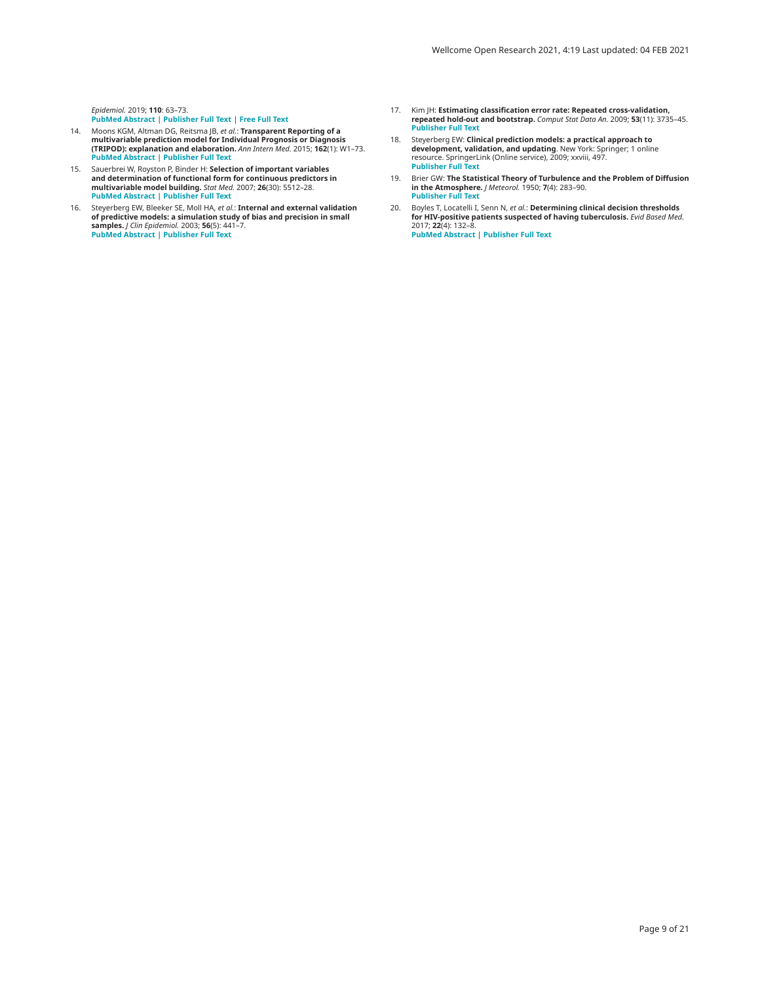<span id="page-8-0"></span>*Epidemiol.* 2019; **110**: 63–73. **PubMed [Abstract](http://www.ncbi.nlm.nih.gov/pubmed/30878639)** | **[Publisher](http://dx.doi.org/10.1016/j.jclinepi.2019.02.016) Full Text** | **[Free](http://www.ncbi.nlm.nih.gov/pmc/articles/6547017) Full Text**

- 14. Moons KGM, Altman DG, Reitsma JB, *et al.*: **Transparent Reporting of a** multivariable prediction model for Individual Prognosis or Diagnosis<br>(TRIPOD): explanation and elaboration. *Ann Intern Med.* 2015; 162(1): W1–73.<br>PubMed [Abstract](http://www.ncbi.nlm.nih.gov/pubmed/25560730) | [Publisher](http://dx.doi.org/10.7326/M14-0698) Full Text
- 15. Sauerbrei W, Royston P, Binder H: **Selection of important variables** and determination of functional form for continuous predictors in<br>multivariable model building. Stat Med. 2007; **26**(30): 5512–28. **PubMed [Abstract](http://www.ncbi.nlm.nih.gov/pubmed/18058845)** | **[Publisher](http://dx.doi.org/10.1002/sim.3148) Full Text**
- 16. Steyerberg EW, Bleeker SE, Moll HA, *et al.*: **Internal and external validation** of predictive models: a simulation study of bias and precision in small<br>samples. / *Clin Epidemiol.* 2003; 56(5): 441–7.<br>PubMed [Abstract](http://www.ncbi.nlm.nih.gov/pubmed/12812818) | [Publisher](http://dx.doi.org/10.1016/S0895-4356(03)00047-7) Full Text
- 17. Kim JH: **Estimating classification error rate: Repeated cross-validation, repeated hold-out and bootstrap.** *Comput Stat Data An.* 2009; **53**(11): 3735–45. **[Publisher](http://dx.doi.org/10.1016/j.csda.2009.04.009) Full Text**
- 18. Steyerberg EW: **Clinical prediction models: a practical approach to**<br>**development, validation, and updating**. New York: Springer; 1 online<br>resource. SpringerLink (Online service), 2009; xxviii, 497. **[Publisher](http://dx.doi.org/10.1007/978-0-387-77244-8) Full Text**
- 19. Brier GW: **The Statistical Theory of Turbulence and the Problem of Diffusion in the Atmosphere.** *J Meteorol.* 1950; **7**(4): 283–90. **[Publisher](http://dx.doi.org/10.1175/1520-0469(1950)007<0283:tstota>2.0.co;2) Full Text**
- 20. Boyles T, Locatelli I, Senn N, *et al.*: **Determining clinical decision thresholds for HIV-positive patients suspected of having tuberculosis.** *Evid Based Med.* 2017; **22**(4): 132–8. **PubMed [Abstract](http://www.ncbi.nlm.nih.gov/pubmed/28716809)** | **[Publisher](http://dx.doi.org/10.1136/ebmed-2017-110718) Full Text**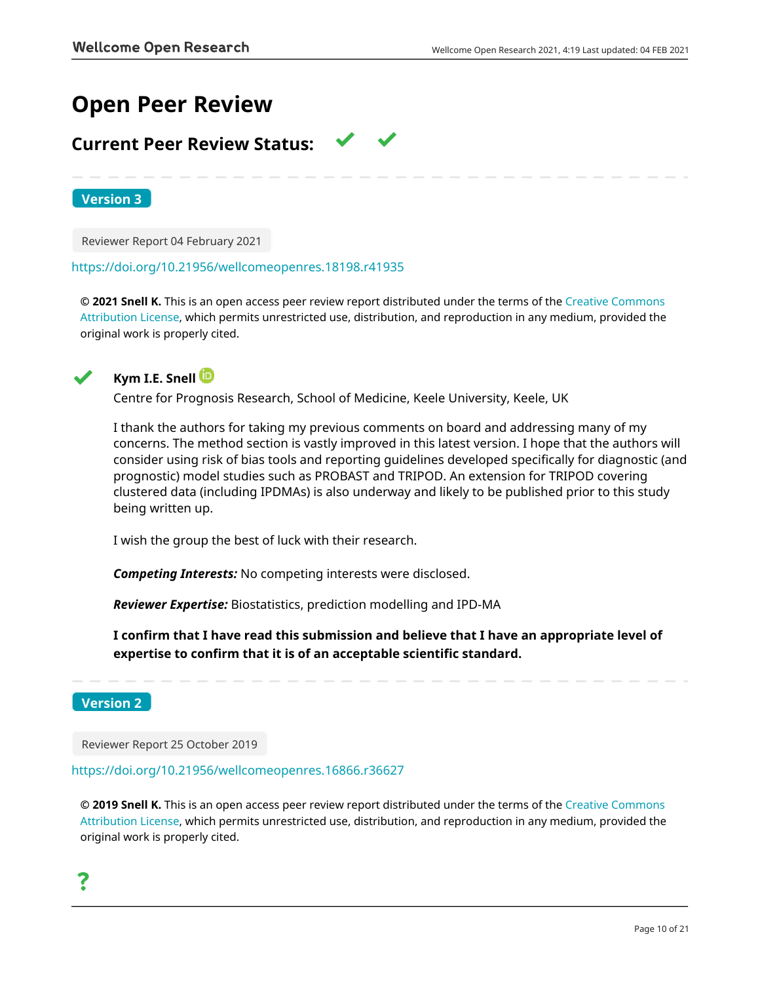# **Open Peer Review**

## **Current Peer Review Status:**

**Version 3**

Reviewer Report 04 February 2021

<https://doi.org/10.21956/wellcomeopenres.18198.r41935>

**© 2021 Snell K.** This is an open access peer review report distributed under the terms of the [Creative Commons](https://creativecommons.org/licenses/by/4.0/) [Attribution License](https://creativecommons.org/licenses/by/4.0/), which permits unrestricted use, distribution, and reproduction in any medium, provided the original work is properly cited.



## **Kym I.E. Snell**

Centre for Prognosis Research, School of Medicine, Keele University, Keele, UK

I thank the authors for taking my previous comments on board and addressing many of my concerns. The method section is vastly improved in this latest version. I hope that the authors will consider using risk of bias tools and reporting guidelines developed specifically for diagnostic (and prognostic) model studies such as PROBAST and TRIPOD. An extension for TRIPOD covering clustered data (including IPDMAs) is also underway and likely to be published prior to this study being written up.

I wish the group the best of luck with their research.

*Competing Interests:* No competing interests were disclosed.

*Reviewer Expertise:* Biostatistics, prediction modelling and IPD-MA

**I confirm that I have read this submission and believe that I have an appropriate level of expertise to confirm that it is of an acceptable scientific standard.**

## **Version 2**

Reviewer Report 25 October 2019

<https://doi.org/10.21956/wellcomeopenres.16866.r36627>

**© 2019 Snell K.** This is an open access peer review report distributed under the terms of the [Creative Commons](https://creativecommons.org/licenses/by/4.0/) [Attribution License](https://creativecommons.org/licenses/by/4.0/), which permits unrestricted use, distribution, and reproduction in any medium, provided the original work is properly cited.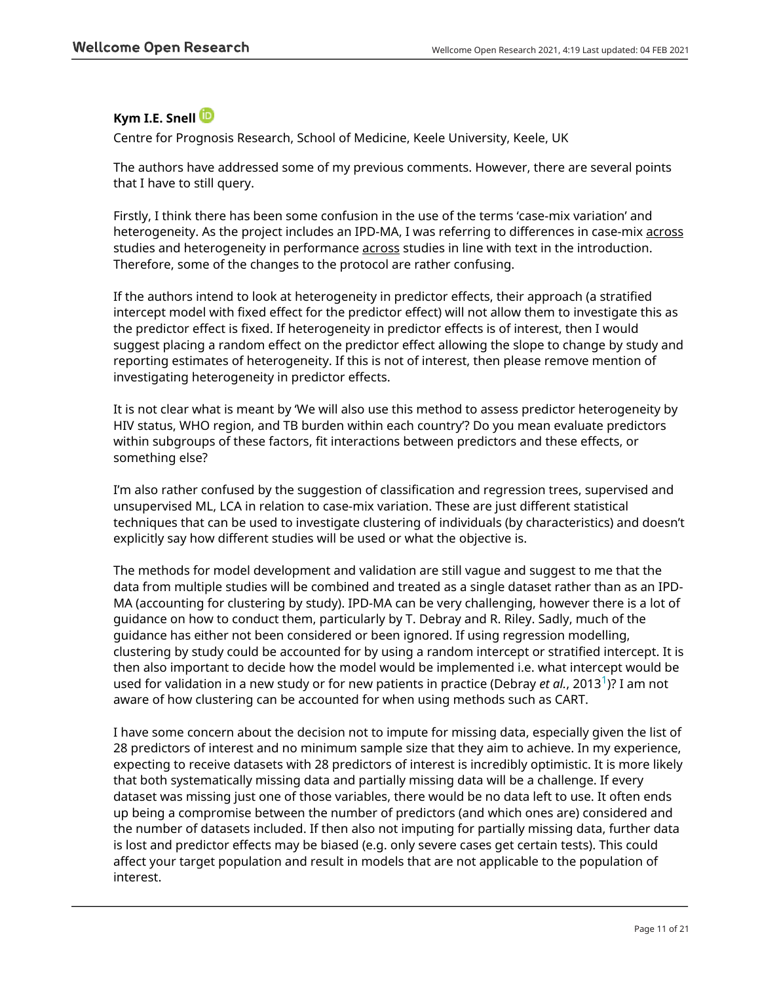## **Kym I.E. Snell**

Centre for Prognosis Research, School of Medicine, Keele University, Keele, UK

The authors have addressed some of my previous comments. However, there are several points that I have to still query.

Firstly, I think there has been some confusion in the use of the terms 'case-mix variation' and heterogeneity. As the project includes an IPD-MA, I was referring to differences in case-mix across studies and heterogeneity in performance across studies in line with text in the introduction. Therefore, some of the changes to the protocol are rather confusing.

If the authors intend to look at heterogeneity in predictor effects, their approach (a stratified intercept model with fixed effect for the predictor effect) will not allow them to investigate this as the predictor effect is fixed. If heterogeneity in predictor effects is of interest, then I would suggest placing a random effect on the predictor effect allowing the slope to change by study and reporting estimates of heterogeneity. If this is not of interest, then please remove mention of investigating heterogeneity in predictor effects.

It is not clear what is meant by 'We will also use this method to assess predictor heterogeneity by HIV status, WHO region, and TB burden within each country'? Do you mean evaluate predictors within subgroups of these factors, fit interactions between predictors and these effects, or something else?

I'm also rather confused by the suggestion of classification and regression trees, supervised and unsupervised ML, LCA in relation to case-mix variation. These are just different statistical techniques that can be used to investigate clustering of individuals (by characteristics) and doesn't explicitly say how different studies will be used or what the objective is.

The methods for model development and validation are still vague and suggest to me that the data from multiple studies will be combined and treated as a single dataset rather than as an IPD-MA (accounting for clustering by study). IPD-MA can be very challenging, however there is a lot of guidance on how to conduct them, particularly by T. Debray and R. Riley. Sadly, much of the guidance has either not been considered or been ignored. If using regression modelling, clustering by study could be accounted for by using a random intercept or stratified intercept. It is then also important to decide how the model would be implemented i.e. what intercept would be used for validation in a new study or for new patients in practice (Debray *et al.*, 2013[1](jar:file:/work/f1000research/webapps/ROOT/WEB-INF/lib/service-1.0-SNAPSHOT.jar!/com/f1000research/service/export/pdf/#rep-ref-36627-1))? I am not aware of how clustering can be accounted for when using methods such as CART.

I have some concern about the decision not to impute for missing data, especially given the list of 28 predictors of interest and no minimum sample size that they aim to achieve. In my experience, expecting to receive datasets with 28 predictors of interest is incredibly optimistic. It is more likely that both systematically missing data and partially missing data will be a challenge. If every dataset was missing just one of those variables, there would be no data left to use. It often ends up being a compromise between the number of predictors (and which ones are) considered and the number of datasets included. If then also not imputing for partially missing data, further data is lost and predictor effects may be biased (e.g. only severe cases get certain tests). This could affect your target population and result in models that are not applicable to the population of interest.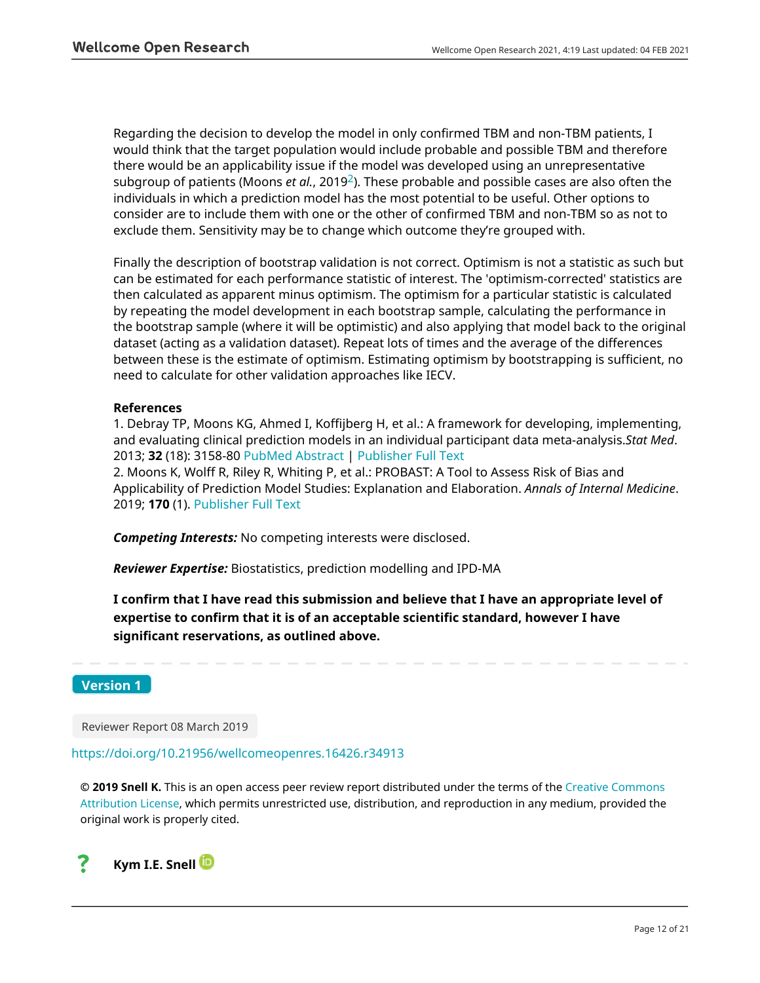Regarding the decision to develop the model in only confirmed TBM and non-TBM patients, I would think that the target population would include probable and possible TBM and therefore there would be an applicability issue if the model was developed using an unrepresentative subgroup of patients (Moons *et al.*, 2019[2](jar:file:/work/f1000research/webapps/ROOT/WEB-INF/lib/service-1.0-SNAPSHOT.jar!/com/f1000research/service/export/pdf/#rep-ref-36627-2)). These probable and possible cases are also often the individuals in which a prediction model has the most potential to be useful. Other options to consider are to include them with one or the other of confirmed TBM and non-TBM so as not to exclude them. Sensitivity may be to change which outcome they're grouped with.

Finally the description of bootstrap validation is not correct. Optimism is not a statistic as such but can be estimated for each performance statistic of interest. The 'optimism-corrected' statistics are then calculated as apparent minus optimism. The optimism for a particular statistic is calculated by repeating the model development in each bootstrap sample, calculating the performance in the bootstrap sample (where it will be optimistic) and also applying that model back to the original dataset (acting as a validation dataset). Repeat lots of times and the average of the differences between these is the estimate of optimism. Estimating optimism by bootstrapping is sufficient, no need to calculate for other validation approaches like IECV.

## **References**

1. Debray TP, Moons KG, Ahmed I, Koffijberg H, et al.: A framework for developing, implementing, and evaluating clinical prediction models in an individual participant data meta-analysis.*Stat Med*. 2013; **32** (18): 3158-80 [PubMed Abstract](http://www.ncbi.nlm.nih.gov/pubmed/23307585) | [Publisher Full Text](https://doi.org/10.1002/sim.5732)

2. Moons K, Wolff R, Riley R, Whiting P, et al.: PROBAST: A Tool to Assess Risk of Bias and Applicability of Prediction Model Studies: Explanation and Elaboration. *Annals of Internal Medicine*. 2019; **170** (1). [Publisher Full Text](https://doi.org/10.7326/M18-1377)

*Competing Interests:* No competing interests were disclosed.

*Reviewer Expertise:* Biostatistics, prediction modelling and IPD-MA

**I confirm that I have read this submission and believe that I have an appropriate level of expertise to confirm that it is of an acceptable scientific standard, however I have significant reservations, as outlined above.**

**Version 1**

Reviewer Report 08 March 2019

<https://doi.org/10.21956/wellcomeopenres.16426.r34913>

**© 2019 Snell K.** This is an open access peer review report distributed under the terms of the [Creative Commons](https://creativecommons.org/licenses/by/4.0/) [Attribution License](https://creativecommons.org/licenses/by/4.0/), which permits unrestricted use, distribution, and reproduction in any medium, provided the original work is properly cited.

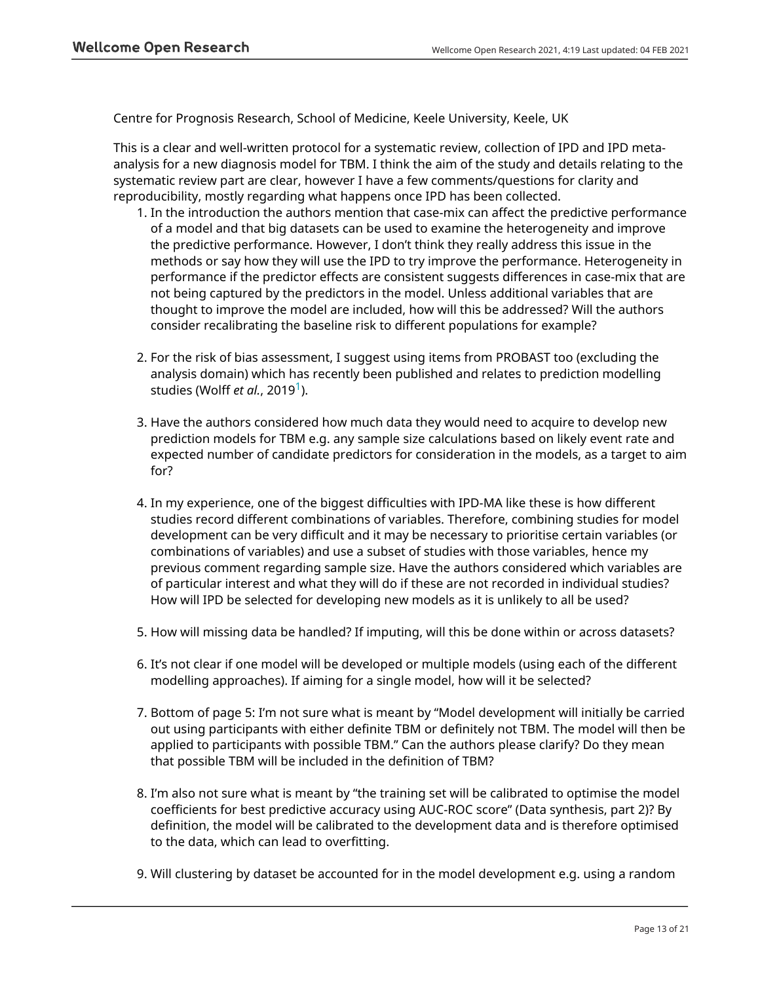Centre for Prognosis Research, School of Medicine, Keele University, Keele, UK

This is a clear and well-written protocol for a systematic review, collection of IPD and IPD metaanalysis for a new diagnosis model for TBM. I think the aim of the study and details relating to the systematic review part are clear, however I have a few comments/questions for clarity and reproducibility, mostly regarding what happens once IPD has been collected.

- 1. In the introduction the authors mention that case-mix can affect the predictive performance of a model and that big datasets can be used to examine the heterogeneity and improve the predictive performance. However, I don't think they really address this issue in the methods or say how they will use the IPD to try improve the performance. Heterogeneity in performance if the predictor effects are consistent suggests differences in case-mix that are not being captured by the predictors in the model. Unless additional variables that are thought to improve the model are included, how will this be addressed? Will the authors consider recalibrating the baseline risk to different populations for example?
- 2. For the risk of bias assessment, I suggest using items from PROBAST too (excluding the analysis domain) which has recently been published and relates to prediction modelling studies (Wolff *et al.*, 20[1](jar:file:/work/f1000research/webapps/ROOT/WEB-INF/lib/service-1.0-SNAPSHOT.jar!/com/f1000research/service/export/pdf/#rep-ref-34913-1)9<sup>1</sup>).
- 3. Have the authors considered how much data they would need to acquire to develop new prediction models for TBM e.g. any sample size calculations based on likely event rate and expected number of candidate predictors for consideration in the models, as a target to aim for?
- 4. In my experience, one of the biggest difficulties with IPD-MA like these is how different studies record different combinations of variables. Therefore, combining studies for model development can be very difficult and it may be necessary to prioritise certain variables (or combinations of variables) and use a subset of studies with those variables, hence my previous comment regarding sample size. Have the authors considered which variables are of particular interest and what they will do if these are not recorded in individual studies? How will IPD be selected for developing new models as it is unlikely to all be used?
- 5. How will missing data be handled? If imputing, will this be done within or across datasets?
- 6. It's not clear if one model will be developed or multiple models (using each of the different modelling approaches). If aiming for a single model, how will it be selected?
- 7. Bottom of page 5: I'm not sure what is meant by "Model development will initially be carried out using participants with either definite TBM or definitely not TBM. The model will then be applied to participants with possible TBM." Can the authors please clarify? Do they mean that possible TBM will be included in the definition of TBM?
- 8. I'm also not sure what is meant by "the training set will be calibrated to optimise the model coefficients for best predictive accuracy using AUC-ROC score" (Data synthesis, part 2)? By definition, the model will be calibrated to the development data and is therefore optimised to the data, which can lead to overfitting.
- 9. Will clustering by dataset be accounted for in the model development e.g. using a random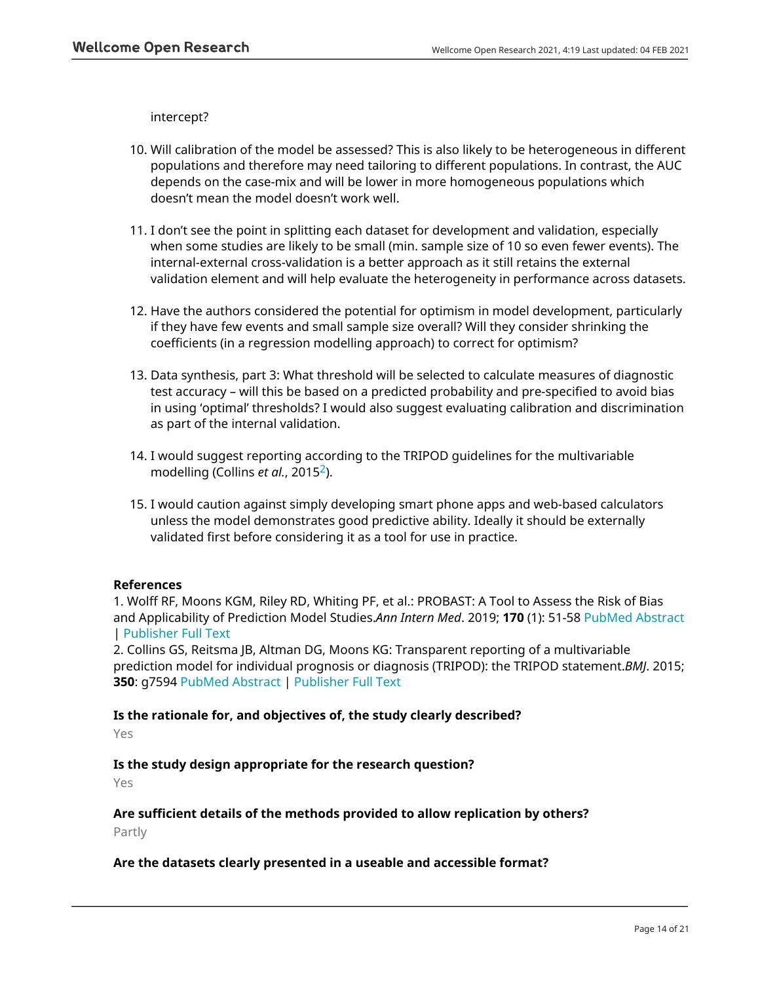intercept?

- Will calibration of the model be assessed? This is also likely to be heterogeneous in different 10. populations and therefore may need tailoring to different populations. In contrast, the AUC depends on the case-mix and will be lower in more homogeneous populations which doesn't mean the model doesn't work well.
- I don't see the point in splitting each dataset for development and validation, especially 11. when some studies are likely to be small (min. sample size of 10 so even fewer events). The internal-external cross-validation is a better approach as it still retains the external validation element and will help evaluate the heterogeneity in performance across datasets.
- 12. Have the authors considered the potential for optimism in model development, particularly if they have few events and small sample size overall? Will they consider shrinking the coefficients (in a regression modelling approach) to correct for optimism?
- 13. Data synthesis, part 3: What threshold will be selected to calculate measures of diagnostic test accuracy – will this be based on a predicted probability and pre-specified to avoid bias in using 'optimal' thresholds? I would also suggest evaluating calibration and discrimination as part of the internal validation.
- 14. I would suggest reporting according to the TRIPOD guidelines for the multivariable modelling (Collins *et al.*, 2015[2](jar:file:/work/f1000research/webapps/ROOT/WEB-INF/lib/service-1.0-SNAPSHOT.jar!/com/f1000research/service/export/pdf/#rep-ref-34913-2)).
- 15. I would caution against simply developing smart phone apps and web-based calculators unless the model demonstrates good predictive ability. Ideally it should be externally validated first before considering it as a tool for use in practice.

## **References**

1. Wolff RF, Moons KGM, Riley RD, Whiting PF, et al.: PROBAST: A Tool to Assess the Risk of Bias and Applicability of Prediction Model Studies.*Ann Intern Med*. 2019; **170** (1): 51-58 [PubMed Abstract](http://www.ncbi.nlm.nih.gov/pubmed/30596875) | [Publisher Full Text](https://doi.org/10.7326/M18-1376)

2. Collins GS, Reitsma JB, Altman DG, Moons KG: Transparent reporting of a multivariable prediction model for individual prognosis or diagnosis (TRIPOD): the TRIPOD statement.*BMJ*. 2015; **350**: g7594 [PubMed Abstract](http://www.ncbi.nlm.nih.gov/pubmed/25569120) | [Publisher Full Text](https://doi.org/10.1136/bmj.g7594)

## **Is the rationale for, and objectives of, the study clearly described?**

Yes

## **Is the study design appropriate for the research question?**

Yes

## **Are sufficient details of the methods provided to allow replication by others?**

Partly

## **Are the datasets clearly presented in a useable and accessible format?**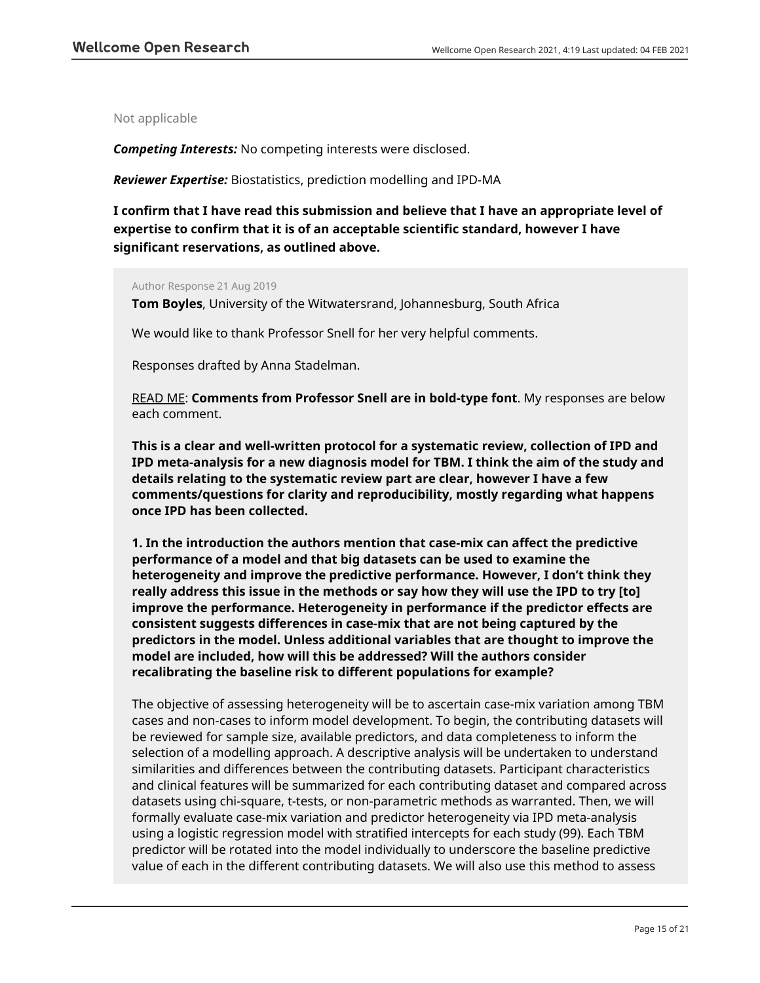Not applicable

*Competing Interests:* No competing interests were disclosed.

*Reviewer Expertise:* Biostatistics, prediction modelling and IPD-MA

**I confirm that I have read this submission and believe that I have an appropriate level of expertise to confirm that it is of an acceptable scientific standard, however I have significant reservations, as outlined above.**

### Author Response 21 Aug 2019

**Tom Boyles**, University of the Witwatersrand, Johannesburg, South Africa

We would like to thank Professor Snell for her very helpful comments.

Responses drafted by Anna Stadelman.

READ ME: **Comments from Professor Snell are in bold-type font**. My responses are below each comment.

**This is a clear and well-written protocol for a systematic review, collection of IPD and IPD meta-analysis for a new diagnosis model for TBM. I think the aim of the study and details relating to the systematic review part are clear, however I have a few comments/questions for clarity and reproducibility, mostly regarding what happens once IPD has been collected.**

**1. In the introduction the authors mention that case-mix can affect the predictive performance of a model and that big datasets can be used to examine the heterogeneity and improve the predictive performance. However, I don't think they really address this issue in the methods or say how they will use the IPD to try [to] improve the performance. Heterogeneity in performance if the predictor effects are consistent suggests differences in case-mix that are not being captured by the predictors in the model. Unless additional variables that are thought to improve the model are included, how will this be addressed? Will the authors consider recalibrating the baseline risk to different populations for example?**

The objective of assessing heterogeneity will be to ascertain case-mix variation among TBM cases and non-cases to inform model development. To begin, the contributing datasets will be reviewed for sample size, available predictors, and data completeness to inform the selection of a modelling approach. A descriptive analysis will be undertaken to understand similarities and differences between the contributing datasets. Participant characteristics and clinical features will be summarized for each contributing dataset and compared across datasets using chi-square, t-tests, or non-parametric methods as warranted. Then, we will formally evaluate case-mix variation and predictor heterogeneity via IPD meta-analysis using a logistic regression model with stratified intercepts for each study (99). Each TBM predictor will be rotated into the model individually to underscore the baseline predictive value of each in the different contributing datasets. We will also use this method to assess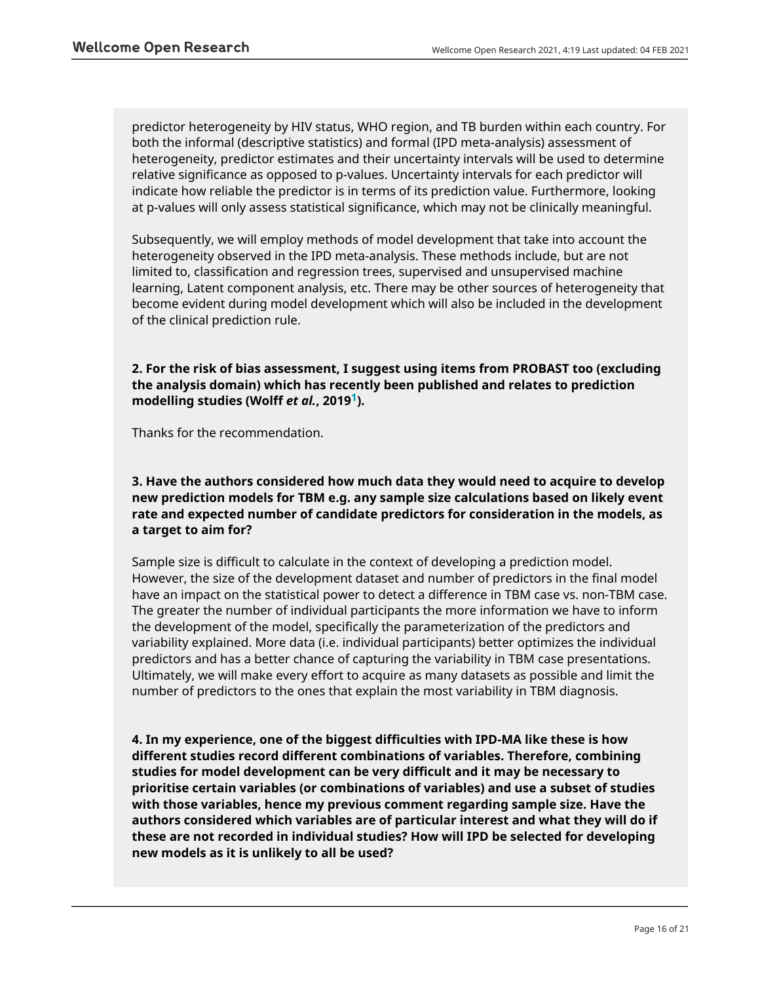predictor heterogeneity by HIV status, WHO region, and TB burden within each country. For both the informal (descriptive statistics) and formal (IPD meta-analysis) assessment of heterogeneity, predictor estimates and their uncertainty intervals will be used to determine relative significance as opposed to p-values. Uncertainty intervals for each predictor will indicate how reliable the predictor is in terms of its prediction value. Furthermore, looking at p-values will only assess statistical significance, which may not be clinically meaningful.

Subsequently, we will employ methods of model development that take into account the heterogeneity observed in the IPD meta-analysis. These methods include, but are not limited to, classification and regression trees, supervised and unsupervised machine learning, Latent component analysis, etc. There may be other sources of heterogeneity that become evident during model development which will also be included in the development of the clinical prediction rule.

## **2. For the risk of bias assessment, I suggest using items from PROBAST too (excluding the analysis domain) which has recently been published and relates to prediction modelling studies (Wolff** *et al.***, 2019[1](https://wellcomeopenresearch.org/articles/4-19/v1#rep-ref-34913-1)).**

Thanks for the recommendation.

## **3. Have the authors considered how much data they would need to acquire to develop new prediction models for TBM e.g. any sample size calculations based on likely event rate and expected number of candidate predictors for consideration in the models, as a target to aim for?**

Sample size is difficult to calculate in the context of developing a prediction model. However, the size of the development dataset and number of predictors in the final model have an impact on the statistical power to detect a difference in TBM case vs. non-TBM case. The greater the number of individual participants the more information we have to inform the development of the model, specifically the parameterization of the predictors and variability explained. More data (i.e. individual participants) better optimizes the individual predictors and has a better chance of capturing the variability in TBM case presentations. Ultimately, we will make every effort to acquire as many datasets as possible and limit the number of predictors to the ones that explain the most variability in TBM diagnosis.

**4. In my experience, one of the biggest difficulties with IPD-MA like these is how different studies record different combinations of variables. Therefore, combining studies for model development can be very difficult and it may be necessary to prioritise certain variables (or combinations of variables) and use a subset of studies with those variables, hence my previous comment regarding sample size. Have the authors considered which variables are of particular interest and what they will do if these are not recorded in individual studies? How will IPD be selected for developing new models as it is unlikely to all be used?**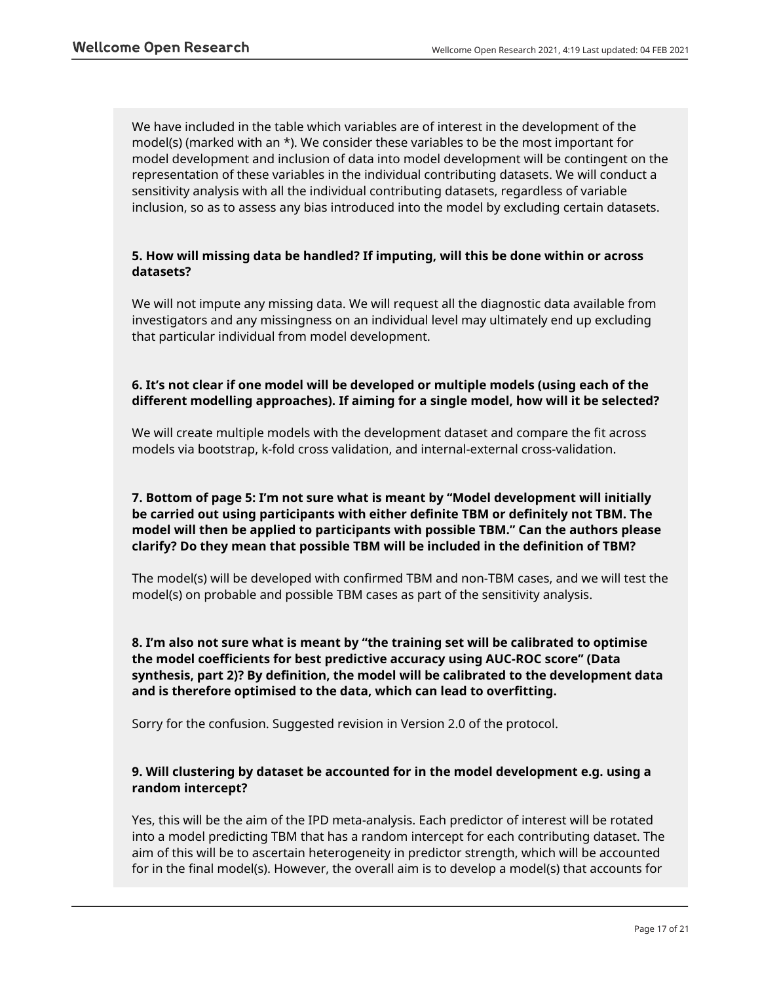We have included in the table which variables are of interest in the development of the model(s) (marked with an  $*$ ). We consider these variables to be the most important for model development and inclusion of data into model development will be contingent on the representation of these variables in the individual contributing datasets. We will conduct a sensitivity analysis with all the individual contributing datasets, regardless of variable inclusion, so as to assess any bias introduced into the model by excluding certain datasets.

## **5. How will missing data be handled? If imputing, will this be done within or across datasets?**

We will not impute any missing data. We will request all the diagnostic data available from investigators and any missingness on an individual level may ultimately end up excluding that particular individual from model development.

## **6. It's not clear if one model will be developed or multiple models (using each of the different modelling approaches). If aiming for a single model, how will it be selected?**

We will create multiple models with the development dataset and compare the fit across models via bootstrap, k-fold cross validation, and internal-external cross-validation.

## **7. Bottom of page 5: I'm not sure what is meant by "Model development will initially be carried out using participants with either definite TBM or definitely not TBM. The model will then be applied to participants with possible TBM." Can the authors please clarify? Do they mean that possible TBM will be included in the definition of TBM?**

The model(s) will be developed with confirmed TBM and non-TBM cases, and we will test the model(s) on probable and possible TBM cases as part of the sensitivity analysis.

**8. I'm also not sure what is meant by "the training set will be calibrated to optimise the model coefficients for best predictive accuracy using AUC-ROC score" (Data synthesis, part 2)? By definition, the model will be calibrated to the development data and is therefore optimised to the data, which can lead to overfitting.**

Sorry for the confusion. Suggested revision in Version 2.0 of the protocol.

## **9. Will clustering by dataset be accounted for in the model development e.g. using a random intercept?**

Yes, this will be the aim of the IPD meta-analysis. Each predictor of interest will be rotated into a model predicting TBM that has a random intercept for each contributing dataset. The aim of this will be to ascertain heterogeneity in predictor strength, which will be accounted for in the final model(s). However, the overall aim is to develop a model(s) that accounts for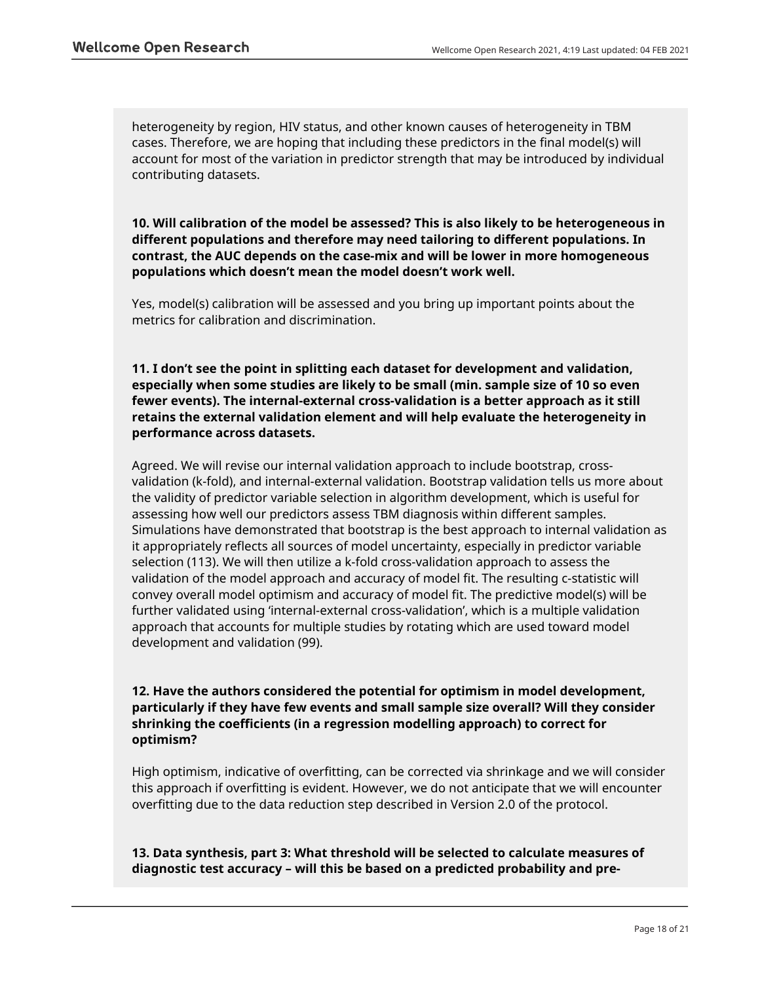heterogeneity by region, HIV status, and other known causes of heterogeneity in TBM cases. Therefore, we are hoping that including these predictors in the final model(s) will account for most of the variation in predictor strength that may be introduced by individual contributing datasets.

**10. Will calibration of the model be assessed? This is also likely to be heterogeneous in different populations and therefore may need tailoring to different populations. In contrast, the AUC depends on the case-mix and will be lower in more homogeneous populations which doesn't mean the model doesn't work well.**

Yes, model(s) calibration will be assessed and you bring up important points about the metrics for calibration and discrimination.

**11. I don't see the point in splitting each dataset for development and validation, especially when some studies are likely to be small (min. sample size of 10 so even fewer events). The internal-external cross-validation is a better approach as it still retains the external validation element and will help evaluate the heterogeneity in performance across datasets.**

Agreed. We will revise our internal validation approach to include bootstrap, crossvalidation (k-fold), and internal-external validation. Bootstrap validation tells us more about the validity of predictor variable selection in algorithm development, which is useful for assessing how well our predictors assess TBM diagnosis within different samples. Simulations have demonstrated that bootstrap is the best approach to internal validation as it appropriately reflects all sources of model uncertainty, especially in predictor variable selection (113). We will then utilize a k-fold cross-validation approach to assess the validation of the model approach and accuracy of model fit. The resulting c-statistic will convey overall model optimism and accuracy of model fit. The predictive model(s) will be further validated using 'internal-external cross-validation', which is a multiple validation approach that accounts for multiple studies by rotating which are used toward model development and validation (99).

**12. Have the authors considered the potential for optimism in model development, particularly if they have few events and small sample size overall? Will they consider shrinking the coefficients (in a regression modelling approach) to correct for optimism?**

High optimism, indicative of overfitting, can be corrected via shrinkage and we will consider this approach if overfitting is evident. However, we do not anticipate that we will encounter overfitting due to the data reduction step described in Version 2.0 of the protocol.

**13. Data synthesis, part 3: What threshold will be selected to calculate measures of diagnostic test accuracy – will this be based on a predicted probability and pre-**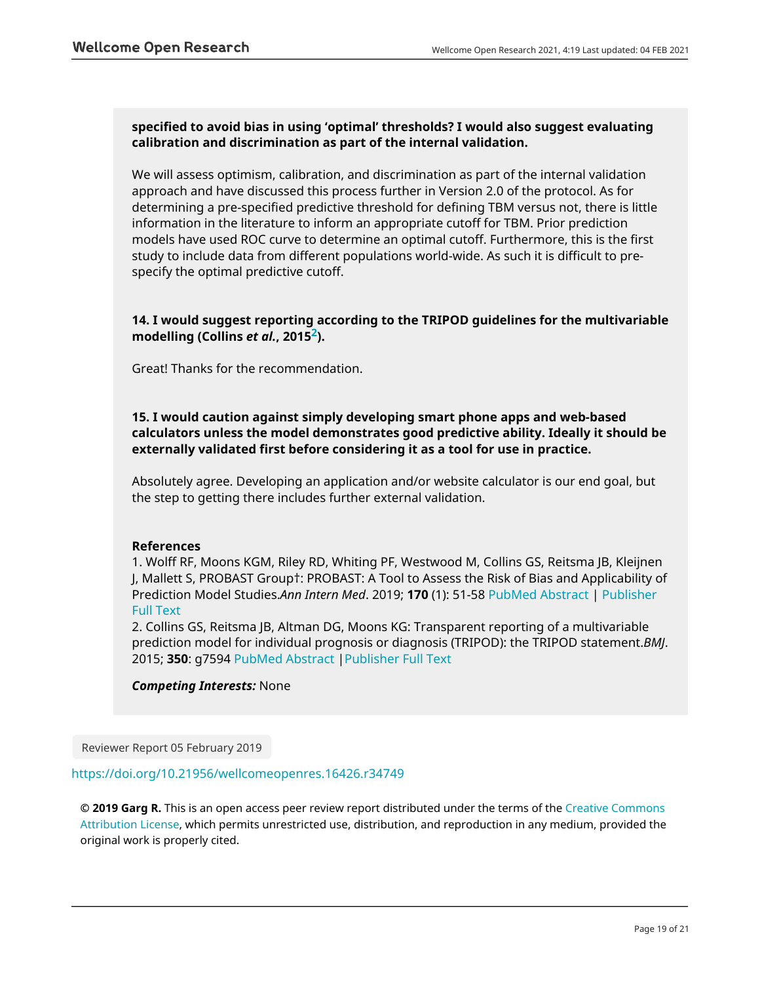## **specified to avoid bias in using 'optimal' thresholds? I would also suggest evaluating calibration and discrimination as part of the internal validation.**

We will assess optimism, calibration, and discrimination as part of the internal validation approach and have discussed this process further in Version 2.0 of the protocol. As for determining a pre-specified predictive threshold for defining TBM versus not, there is little information in the literature to inform an appropriate cutoff for TBM. Prior prediction models have used ROC curve to determine an optimal cutoff. Furthermore, this is the first study to include data from different populations world-wide. As such it is difficult to prespecify the optimal predictive cutoff.

## **14. I would suggest reporting according to the TRIPOD guidelines for the multivariable modelling (Collins** *et al.***, 2015[2](https://wellcomeopenresearch.org/articles/4-19/v1#rep-ref-34913-2)).**

Great! Thanks for the recommendation.

## **15. I would caution against simply developing smart phone apps and web-based calculators unless the model demonstrates good predictive ability. Ideally it should be externally validated first before considering it as a tool for use in practice.**

Absolutely agree. Developing an application and/or website calculator is our end goal, but the step to getting there includes further external validation.

## **References**

1. Wolff RF, Moons KGM, Riley RD, Whiting PF, Westwood M, Collins GS, Reitsma JB, Kleijnen J, Mallett S, PROBAST Group†: PROBAST: A Tool to Assess the Risk of Bias and Applicability of Prediction Model Studies.*Ann Intern Med*. 2019; **170** (1): 51-58 [PubMed Abstract](http://www.ncbi.nlm.nih.gov/pubmed/30596875) | [Publisher](https://doi.org/10.7326/M18-1376) [Full Text](https://doi.org/10.7326/M18-1376)

2. Collins GS, Reitsma JB, Altman DG, Moons KG: Transparent reporting of a multivariable prediction model for individual prognosis or diagnosis (TRIPOD): the TRIPOD statement.*BMJ*. 2015; **350**: g7594 [PubMed Abstract](http://www.ncbi.nlm.nih.gov/pubmed/25569120) |[Publisher Full Text](https://doi.org/10.1136/bmj.g7594)

## *Competing Interests:* None

Reviewer Report 05 February 2019

## <https://doi.org/10.21956/wellcomeopenres.16426.r34749>

**© 2019 Garg R.** This is an open access peer review report distributed under the terms of the [Creative Commons](https://creativecommons.org/licenses/by/4.0/) [Attribution License](https://creativecommons.org/licenses/by/4.0/), which permits unrestricted use, distribution, and reproduction in any medium, provided the original work is properly cited.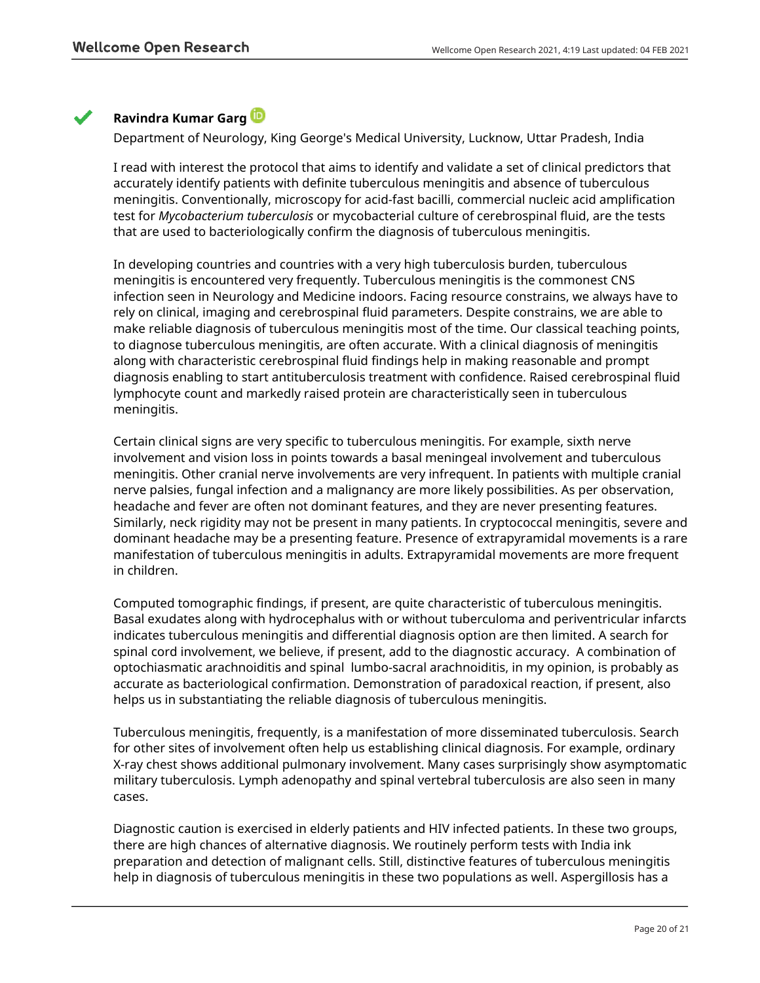## **Ravindra Kumar Garg**

Department of Neurology, King George's Medical University, Lucknow, Uttar Pradesh, India

I read with interest the protocol that aims to identify and validate a set of clinical predictors that accurately identify patients with definite tuberculous meningitis and absence of tuberculous meningitis. Conventionally, microscopy for acid-fast bacilli, commercial nucleic acid amplification test for *Mycobacterium tuberculosis* or mycobacterial culture of cerebrospinal fluid, are the tests that are used to bacteriologically confirm the diagnosis of tuberculous meningitis.

In developing countries and countries with a very high tuberculosis burden, tuberculous meningitis is encountered very frequently. Tuberculous meningitis is the commonest CNS infection seen in Neurology and Medicine indoors. Facing resource constrains, we always have to rely on clinical, imaging and cerebrospinal fluid parameters. Despite constrains, we are able to make reliable diagnosis of tuberculous meningitis most of the time. Our classical teaching points, to diagnose tuberculous meningitis, are often accurate. With a clinical diagnosis of meningitis along with characteristic cerebrospinal fluid findings help in making reasonable and prompt diagnosis enabling to start antituberculosis treatment with confidence. Raised cerebrospinal fluid lymphocyte count and markedly raised protein are characteristically seen in tuberculous meningitis.

Certain clinical signs are very specific to tuberculous meningitis. For example, sixth nerve involvement and vision loss in points towards a basal meningeal involvement and tuberculous meningitis. Other cranial nerve involvements are very infrequent. In patients with multiple cranial nerve palsies, fungal infection and a malignancy are more likely possibilities. As per observation, headache and fever are often not dominant features, and they are never presenting features. Similarly, neck rigidity may not be present in many patients. In cryptococcal meningitis, severe and dominant headache may be a presenting feature. Presence of extrapyramidal movements is a rare manifestation of tuberculous meningitis in adults. Extrapyramidal movements are more frequent in children.

Computed tomographic findings, if present, are quite characteristic of tuberculous meningitis. Basal exudates along with hydrocephalus with or without tuberculoma and periventricular infarcts indicates tuberculous meningitis and differential diagnosis option are then limited. A search for spinal cord involvement, we believe, if present, add to the diagnostic accuracy. A combination of optochiasmatic arachnoiditis and spinal lumbo-sacral arachnoiditis, in my opinion, is probably as accurate as bacteriological confirmation. Demonstration of paradoxical reaction, if present, also helps us in substantiating the reliable diagnosis of tuberculous meningitis.

Tuberculous meningitis, frequently, is a manifestation of more disseminated tuberculosis. Search for other sites of involvement often help us establishing clinical diagnosis. For example, ordinary X-ray chest shows additional pulmonary involvement. Many cases surprisingly show asymptomatic military tuberculosis. Lymph adenopathy and spinal vertebral tuberculosis are also seen in many cases.

Diagnostic caution is exercised in elderly patients and HIV infected patients. In these two groups, there are high chances of alternative diagnosis. We routinely perform tests with India ink preparation and detection of malignant cells. Still, distinctive features of tuberculous meningitis help in diagnosis of tuberculous meningitis in these two populations as well. Aspergillosis has a